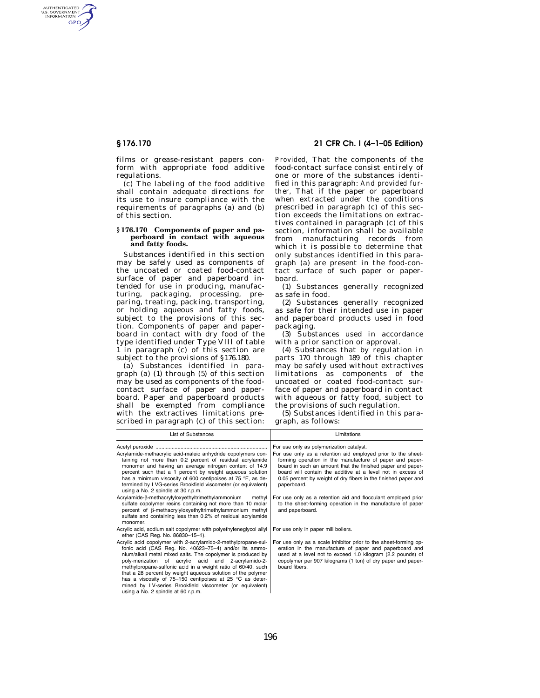AUTHENTICATED<br>U.S. GOVERNMENT<br>INFORMATION **GPO** 

> films or grease-resistant papers conform with appropriate food additive regulations.

> (c) The labeling of the food additive shall contain adequate directions for its use to insure compliance with the requirements of paragraphs (a) and (b) of this section.

### **§ 176.170 Components of paper and paperboard in contact with aqueous and fatty foods.**

Substances identified in this section may be safely used as components of the uncoated or coated food-contact surface of paper and paperboard intended for use in producing, manufacturing, packaging, processing, preparing, treating, packing, transporting, or holding aqueous and fatty foods, subject to the provisions of this section. Components of paper and paperboard in contact with dry food of the type identified under Type VIII of table 1 in paragraph (c) of this section are subject to the provisions of §176.180.

(a) Substances identified in paragraph (a) (1) through (5) of this section may be used as components of the foodcontact surface of paper and paperboard. Paper and paperboard products shall be exempted from compliance with the extractives limitations prescribed in paragraph (c) of this section:

### **§ 176.170 21 CFR Ch. I (4–1–05 Edition)**

*Provided,* That the components of the food-contact surface consist entirely of one or more of the substances identified in this paragraph: *And provided further,* That if the paper or paperboard when extracted under the conditions prescribed in paragraph (c) of this section exceeds the limitations on extractives contained in paragraph (c) of this section, information shall be available from manufacturing records from which it is possible to determine that only substances identified in this paragraph (a) are present in the food-contact surface of such paper or paperboard.

(1) Substances generally recognized as safe in food.

(2) Substances generally recognized as safe for their intended use in paper and paperboard products used in food packaging.

(3) Substances used in accordance with a prior sanction or approval.

(4) Substances that by regulation in parts 170 through 189 of this chapter may be safely used without extractives limitations as components of the uncoated or coated food-contact surface of paper and paperboard in contact with aqueous or fatty food, subject to the provisions of such regulation.

(5) Substances identified in this paragraph, as follows:

| List of Substances                                                                                                                                                                                                                                                                                                                                                                                                                                                                                                                        | Limitations                                                                                                                                                                                                                                                                                                                            |
|-------------------------------------------------------------------------------------------------------------------------------------------------------------------------------------------------------------------------------------------------------------------------------------------------------------------------------------------------------------------------------------------------------------------------------------------------------------------------------------------------------------------------------------------|----------------------------------------------------------------------------------------------------------------------------------------------------------------------------------------------------------------------------------------------------------------------------------------------------------------------------------------|
|                                                                                                                                                                                                                                                                                                                                                                                                                                                                                                                                           | For use only as polymerization catalyst.                                                                                                                                                                                                                                                                                               |
| Acrylamide-methacrylic acid-maleic anhydride copolymers con-<br>taining not more than 0.2 percent of residual acrylamide<br>monomer and having an average nitrogen content of 14.9<br>percent such that a 1 percent by weight agueous solution<br>has a minimum viscosity of 600 centipoises at 75 °F, as de-<br>termined by LVG-series Brookfield viscometer (or equivalent)<br>using a No. 2 spindle at 30 r.p.m.                                                                                                                       | For use only as a retention aid employed prior to the sheet-<br>forming operation in the manufacture of paper and paper-<br>board in such an amount that the finished paper and paper-<br>board will contain the additive at a level not in excess of<br>0.05 percent by weight of dry fibers in the finished paper and<br>paperboard. |
| Acrylamide-B-methacrylyloxyethyltrimethylammonium<br>methyl<br>sulfate copolymer resins containing not more than 10 molar<br>percent of B-methacrylyloxyethyltrimethylammonium methyl<br>sulfate and containing less than 0.2% of residual acrylamide<br>monomer.                                                                                                                                                                                                                                                                         | For use only as a retention aid and flocculant employed prior<br>to the sheet-forming operation in the manufacture of paper<br>and paperboard.                                                                                                                                                                                         |
| Acrylic acid, sodium salt copolymer with polyethyleneglycol allyl<br>ether (CAS Req. No. 86830-15-1).                                                                                                                                                                                                                                                                                                                                                                                                                                     | For use only in paper mill boilers.                                                                                                                                                                                                                                                                                                    |
| Acrylic acid copolymer with 2-acrylamido-2-methylpropane-sul-<br>fonic acid (CAS Reg. No. 40623-75-4) and/or its ammo-<br>nium/alkali metal mixed salts. The copolymer is produced by<br>poly-merization of acrylic acid and 2-acrylamido-2-<br>methylpropane-sulfonic acid in a weight ratio of 60/40, such<br>that a 28 percent by weight agueous solution of the polymer<br>has a viscosity of 75-150 centipoises at 25 °C as deter-<br>mined by LV-series Brookfield viscometer (or equivalent)<br>using a No. 2 spindle at 60 r.p.m. | For use only as a scale inhibitor prior to the sheet-forming op-<br>eration in the manufacture of paper and paperboard and<br>used at a level not to exceed 1.0 kilogram (2.2 pounds) of<br>copolymer per 907 kilograms (1 ton) of dry paper and paper-<br>board fibers.                                                               |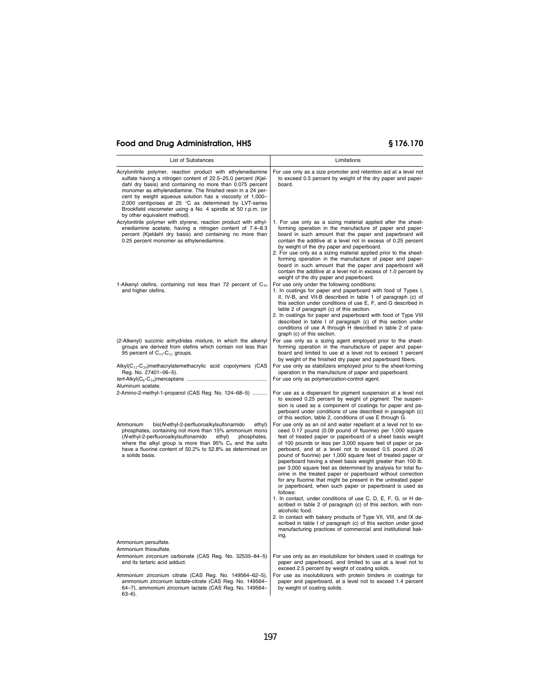| List of Substances                                                                                                                                                                                                                                                                                                                                                                                                                                                               | Limitations                                                                                                                                                                                                                                                                                                                                                                                                                                                                                                                                                                                                                                                                                                                                                                                                                                                                                                                                                                                                                                                                                        |
|----------------------------------------------------------------------------------------------------------------------------------------------------------------------------------------------------------------------------------------------------------------------------------------------------------------------------------------------------------------------------------------------------------------------------------------------------------------------------------|----------------------------------------------------------------------------------------------------------------------------------------------------------------------------------------------------------------------------------------------------------------------------------------------------------------------------------------------------------------------------------------------------------------------------------------------------------------------------------------------------------------------------------------------------------------------------------------------------------------------------------------------------------------------------------------------------------------------------------------------------------------------------------------------------------------------------------------------------------------------------------------------------------------------------------------------------------------------------------------------------------------------------------------------------------------------------------------------------|
| Acrylonitrile polymer, reaction product with ethylenediamine<br>sulfate having a nitrogen content of 22.5-25.0 percent (Kjel-<br>dahl dry basis) and containing no more than 0.075 percent<br>monomer as ethylenediamine. The finished resin in a 24 per-<br>cent by weight aqueous solution has a viscosity of 1,000-<br>2,000 centipoises at 25 °C as determined by LVT-series<br>Brookfield viscometer using a No. 4 spindle at 50 r.p.m. (or<br>by other equivalent method). | For use only as a size promoter and retention aid at a level not<br>to exceed 0.5 percent by weight of the dry paper and paper-<br>board.                                                                                                                                                                                                                                                                                                                                                                                                                                                                                                                                                                                                                                                                                                                                                                                                                                                                                                                                                          |
| Acrylonitrile polymer with styrene, reaction product with ethyl-<br>enediamine acetate, having a nitrogen content of 7.4-8.3<br>percent (Kjeldahl dry basis) and containing no more than<br>0.25 percent monomer as ethylenediamine.                                                                                                                                                                                                                                             | 1. For use only as a sizing material applied after the sheet-<br>forming operation in the manufacture of paper and paper-<br>board in such amount that the paper and paperboard will<br>contain the additive at a level not in excess of 0.25 percent<br>by weight of the dry paper and paperboard.<br>2. For use only as a sizing material applied prior to the sheet-<br>forming operation in the manufacture of paper and paper-<br>board in such amount that the paper and paperboard will<br>contain the additive at a level not in excess of 1.0 percent by<br>weight of the dry paper and paperboard.                                                                                                                                                                                                                                                                                                                                                                                                                                                                                       |
| 1-Alkenyl olefins, containing not less than 72 percent of $C_{30}$<br>and higher olefins.                                                                                                                                                                                                                                                                                                                                                                                        | For use only under the following conditions:<br>1. In coatings for paper and paperboard with food of Types I,<br>II, IV-B, and VII-B described in table 1 of paragraph (c) of<br>this section under conditions of use E, F, and G described in<br>table 2 of paragraph (c) of this section.<br>2. In coatings for paper and paperboard with food of Type VIII<br>described in table I of paragraph (c) of this section under<br>conditions of use A through H described in table 2 of para-<br>graph (c) of this section.                                                                                                                                                                                                                                                                                                                                                                                                                                                                                                                                                                          |
| (2-Alkenyl) succinic anhydrides mixture, in which the alkenyl<br>groups are derived from olefins which contain not less than<br>95 percent of C <sub>15</sub> -C <sub>21</sub> groups.                                                                                                                                                                                                                                                                                           | For use only as a sizing agent employed prior to the sheet-<br>forming operation in the manufacture of paper and paper-<br>board and limited to use at a level not to exceed 1 percent<br>by weight of the finished dry paper and paperboard fibers.                                                                                                                                                                                                                                                                                                                                                                                                                                                                                                                                                                                                                                                                                                                                                                                                                                               |
| Alkyl(C <sub>12</sub> -C <sub>20</sub> )methacrylatemethacrylic acid copolymers (CAS<br>Reg. No. 27401-06-5).                                                                                                                                                                                                                                                                                                                                                                    | For use only as stabilizers employed prior to the sheet-forming<br>operation in the manufacture of paper and paperboard.                                                                                                                                                                                                                                                                                                                                                                                                                                                                                                                                                                                                                                                                                                                                                                                                                                                                                                                                                                           |
| Aluminum acetate.                                                                                                                                                                                                                                                                                                                                                                                                                                                                | For use only as polymerization-control agent.                                                                                                                                                                                                                                                                                                                                                                                                                                                                                                                                                                                                                                                                                                                                                                                                                                                                                                                                                                                                                                                      |
| 2-Amino-2-methyl-1-propanol (CAS Reg. No. 124-68-5)                                                                                                                                                                                                                                                                                                                                                                                                                              | For use as a dispersant for pigment suspension at a level not<br>to exceed 0.25 percent by weight of pigment. The suspen-<br>sion is used as a component of coatings for paper and pa-<br>perboard under conditions of use described in paragraph (c)<br>of this section, table 2, conditions of use E through G.                                                                                                                                                                                                                                                                                                                                                                                                                                                                                                                                                                                                                                                                                                                                                                                  |
| Ammonium<br>bis(N-ethyl-2-perfluoroalkylsulfonamido<br>ethyl)<br>phosphates, containing not more than 15% ammonium mono<br>(N-ethyl-2-perfluoroalkylsulfonamido<br>ethyl)<br>phosphates,<br>where the alkyl group is more than $95\%$ C <sub>8</sub> and the salts<br>have a fluorine content of 50.2% to 52.8% as determined on<br>a solids basis.                                                                                                                              | For use only as an oil and water repellant at a level not to ex-<br>ceed 0.17 pound (0.09 pound of fluorine) per 1,000 square<br>feet of treated paper or paperboard of a sheet basis weight<br>of 100 pounds or less per 3,000 square feet of paper or pa-<br>perboard, and at a level not to exceed 0.5 pound (0.26<br>pound of fluorine) per 1,000 square feet of treated paper or<br>paperboard having a sheet basis weight greater than 100 lb.<br>per 3,000 square feet as determined by analysis for total flu-<br>orine in the treated paper or paperboard without correction<br>for any fluorine that might be present in the untreated paper<br>or paperboard, when such paper or paperboard is used as<br>follows:<br>1. In contact, under conditions of use C, D, E, F, G, or H de-<br>scribed in table 2 of paragraph (c) of this section, with non-<br>alcoholic food.<br>2. In contact with bakery products of Type VII, VIII, and IX de-<br>scribed in table I of paragraph (c) of this section under good<br>manufacturing practices of commercial and institutional bak-<br>ing. |
| Ammonium persulfate.<br>Ammonium thiosulfate.                                                                                                                                                                                                                                                                                                                                                                                                                                    |                                                                                                                                                                                                                                                                                                                                                                                                                                                                                                                                                                                                                                                                                                                                                                                                                                                                                                                                                                                                                                                                                                    |
| Ammonium zirconium carbonate (CAS Reg. No. 32535-84-5)<br>and its tartaric acid adduct.                                                                                                                                                                                                                                                                                                                                                                                          | For use only as an insolubilizer for binders used in coatings for<br>paper and paperboard, and limited to use at a level not to<br>exceed 2.5 percent by weight of coating solids.                                                                                                                                                                                                                                                                                                                                                                                                                                                                                                                                                                                                                                                                                                                                                                                                                                                                                                                 |
| Ammonium zirconium citrate (CAS Reg. No. 149564-62-5),<br>ammonium zirconium lactate-citrate (CAS Reg. No. 149564-<br>64-7), ammonium zirconium lactate (CAS Reg. No. 149564-<br>$63 - 6$ ).                                                                                                                                                                                                                                                                                     | For use as insolubilizers with protein binders in coatings for<br>paper and paperboard, at a level not to exceed 1.4 percent<br>by weight of coating solids.                                                                                                                                                                                                                                                                                                                                                                                                                                                                                                                                                                                                                                                                                                                                                                                                                                                                                                                                       |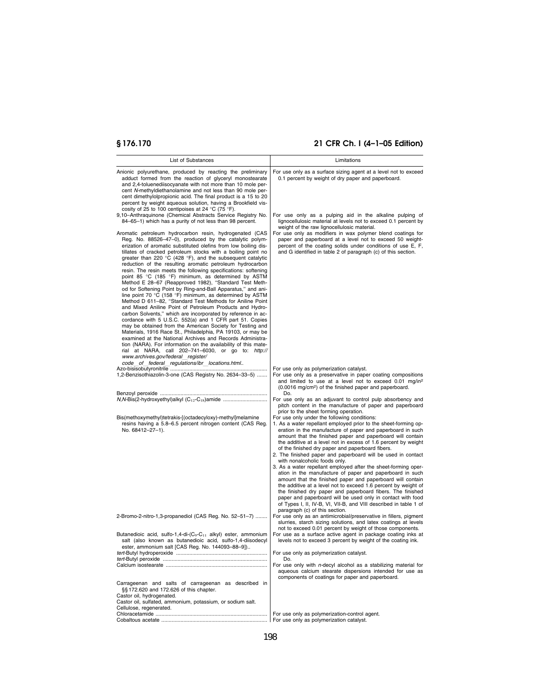| List of Substances                                                                                                                                                                                                                                                                                                                                                                                                                                                                                                                                                                                                                                                                                                                                                                                                                                                                                                                                                                                                                                                                                                                                                                                                                                                                                                                                                            | Limitations                                                                                                                                                                                                                                                                                                                                                                                                                                                                                                                                                                                                                                                                                                                                                                                                                                                                                                                                                          |
|-------------------------------------------------------------------------------------------------------------------------------------------------------------------------------------------------------------------------------------------------------------------------------------------------------------------------------------------------------------------------------------------------------------------------------------------------------------------------------------------------------------------------------------------------------------------------------------------------------------------------------------------------------------------------------------------------------------------------------------------------------------------------------------------------------------------------------------------------------------------------------------------------------------------------------------------------------------------------------------------------------------------------------------------------------------------------------------------------------------------------------------------------------------------------------------------------------------------------------------------------------------------------------------------------------------------------------------------------------------------------------|----------------------------------------------------------------------------------------------------------------------------------------------------------------------------------------------------------------------------------------------------------------------------------------------------------------------------------------------------------------------------------------------------------------------------------------------------------------------------------------------------------------------------------------------------------------------------------------------------------------------------------------------------------------------------------------------------------------------------------------------------------------------------------------------------------------------------------------------------------------------------------------------------------------------------------------------------------------------|
| Anionic polyurethane, produced by reacting the preliminary<br>adduct formed from the reaction of glyceryl monostearate<br>and 2,4-toluenediisocyanate with not more than 10 mole per-<br>cent N-methyldiethanolamine and not less than 90 mole per-<br>cent dimethylolpropionic acid. The final product is a 15 to 20<br>percent by weight aqueous solution, having a Brookfield vis-<br>cosity of 25 to 100 centipoises at 24 °C (75 °F).                                                                                                                                                                                                                                                                                                                                                                                                                                                                                                                                                                                                                                                                                                                                                                                                                                                                                                                                    | For use only as a surface sizing agent at a level not to exceed<br>0.1 percent by weight of dry paper and paperboard.                                                                                                                                                                                                                                                                                                                                                                                                                                                                                                                                                                                                                                                                                                                                                                                                                                                |
| 9,10-Anthraquinone (Chemical Abstracts Service Registry No.<br>84-65-1) which has a purity of not less than 98 percent.                                                                                                                                                                                                                                                                                                                                                                                                                                                                                                                                                                                                                                                                                                                                                                                                                                                                                                                                                                                                                                                                                                                                                                                                                                                       | For use only as a pulping aid in the alkaline pulping of<br>lignocellulosic material at levels not to exceed 0.1 percent by<br>weight of the raw lignocellulosic material.                                                                                                                                                                                                                                                                                                                                                                                                                                                                                                                                                                                                                                                                                                                                                                                           |
| Aromatic petroleum hydrocarbon resin, hydrogenated (CAS<br>Reg. No. 88526-47-0), produced by the catalytic polym-<br>erization of aromatic substituted olefins from low boiling dis-<br>tillates of cracked petroleum stocks with a boiling point no<br>greater than 220 $\degree$ C (428 $\degree$ F), and the subsequent catalytic<br>reduction of the resulting aromatic petroleum hydrocarbon<br>resin. The resin meets the following specifications: softening<br>point 85 °C (185 °F) minimum, as determined by ASTM<br>Method E 28-67 (Reapproved 1982), "Standard Test Meth-<br>od for Softening Point by Ring-and-Ball Apparatus," and ani-<br>line point 70 °C (158 °F) minimum, as determined by ASTM<br>Method D 611-82, "Standard Test Methods for Aniline Point<br>and Mixed Aniline Point of Petroleum Products and Hydro-<br>carbon Solvents," which are incorporated by reference in ac-<br>cordance with 5 U.S.C. 552(a) and 1 CFR part 51. Copies<br>may be obtained from the American Society for Testing and<br>Materials, 1916 Race St., Philadelphia, PA 19103, or may be<br>examined at the National Archives and Records Administra-<br>tion (NARA). For information on the availability of this mate-<br>rial at NARA, call 202-741-6030, or go to: http://<br>www.archives.gov/federal register/<br>code of federal regulations/ibr locations.html | For use only as modifiers in wax polymer blend coatings for<br>paper and paperboard at a level not to exceed 50 weight-<br>percent of the coating solids under conditions of use E, F,<br>and G identified in table 2 of paragraph (c) of this section.                                                                                                                                                                                                                                                                                                                                                                                                                                                                                                                                                                                                                                                                                                              |
| 1,2-Benzisothiazolin-3-one (CAS Registry No. 2634-33-5)                                                                                                                                                                                                                                                                                                                                                                                                                                                                                                                                                                                                                                                                                                                                                                                                                                                                                                                                                                                                                                                                                                                                                                                                                                                                                                                       | For use only as polymerization catalyst.<br>For use only as a preservative in paper coating compositions<br>and limited to use at a level not to exceed 0.01 mg/in <sup>2</sup><br>(0.0016 mg/cm <sup>2</sup> ) of the finished paper and paperboard.                                                                                                                                                                                                                                                                                                                                                                                                                                                                                                                                                                                                                                                                                                                |
|                                                                                                                                                                                                                                                                                                                                                                                                                                                                                                                                                                                                                                                                                                                                                                                                                                                                                                                                                                                                                                                                                                                                                                                                                                                                                                                                                                               | Do.<br>For use only as an adjuvant to control pulp absorbency and<br>pitch content in the manufacture of paper and paperboard<br>prior to the sheet forming operation.                                                                                                                                                                                                                                                                                                                                                                                                                                                                                                                                                                                                                                                                                                                                                                                               |
| Bis(methoxymethyl)tetrakis-[(octadecyloxy)-methyl]melamine<br>resins having a 5.8–6.5 percent nitrogen content (CAS Reg.<br>No. 68412-27-1).                                                                                                                                                                                                                                                                                                                                                                                                                                                                                                                                                                                                                                                                                                                                                                                                                                                                                                                                                                                                                                                                                                                                                                                                                                  | For use only under the following conditions:<br>1. As a water repellant employed prior to the sheet-forming op-<br>eration in the manufacture of paper and paperboard in such<br>amount that the finished paper and paperboard will contain<br>the additive at a level not in excess of 1.6 percent by weight<br>of the finished dry paper and paperboard fibers.<br>2. The finished paper and paperboard will be used in contact<br>with nonalcoholic foods only.<br>3. As a water repellant employed after the sheet-forming oper-<br>ation in the manufacture of paper and paperboard in such<br>amount that the finished paper and paperboard will contain<br>the additive at a level not to exceed 1.6 percent by weight of<br>the finished dry paper and paperboard fibers. The finished<br>paper and paperboard will be used only in contact with food<br>of Types I, II, IV-B, VI, VII-B, and VIII described in table 1 of<br>paragraph (c) of this section. |
| 2-Bromo-2-nitro-1,3-propanediol (CAS Reg. No. 52-51-7)                                                                                                                                                                                                                                                                                                                                                                                                                                                                                                                                                                                                                                                                                                                                                                                                                                                                                                                                                                                                                                                                                                                                                                                                                                                                                                                        | For use only as an antimicrobial/preservative in fillers, pigment<br>slurries, starch sizing solutions, and latex coatings at levels<br>not to exceed 0.01 percent by weight of those components.                                                                                                                                                                                                                                                                                                                                                                                                                                                                                                                                                                                                                                                                                                                                                                    |
| Butanedioic acid, sulfo-1,4-di- $(C_9$ -C <sub>11</sub> alkyl) ester, ammonium<br>salt (also known as butanedioic acid, sulfo-1,4-diisodecyl<br>ester, ammonium salt [CAS Reg. No. 144093-88-9])                                                                                                                                                                                                                                                                                                                                                                                                                                                                                                                                                                                                                                                                                                                                                                                                                                                                                                                                                                                                                                                                                                                                                                              | For use as a surface active agent in package coating inks at<br>levels not to exceed 3 percent by weight of the coating ink.<br>For use only as polymerization catalyst.                                                                                                                                                                                                                                                                                                                                                                                                                                                                                                                                                                                                                                                                                                                                                                                             |
|                                                                                                                                                                                                                                                                                                                                                                                                                                                                                                                                                                                                                                                                                                                                                                                                                                                                                                                                                                                                                                                                                                                                                                                                                                                                                                                                                                               | Do.<br>For use only with $n$ -decyl alcohol as a stabilizing material for<br>aqueous calcium stearate dispersions intended for use as<br>components of coatings for paper and paperboard.                                                                                                                                                                                                                                                                                                                                                                                                                                                                                                                                                                                                                                                                                                                                                                            |
| Carrageenan and salts of carrageenan as described in<br>§§ 172.620 and 172.626 of this chapter.<br>Castor oil, hydrogenated.<br>Castor oil, sulfated, ammonium, potassium, or sodium salt.<br>Cellulose, regenerated.                                                                                                                                                                                                                                                                                                                                                                                                                                                                                                                                                                                                                                                                                                                                                                                                                                                                                                                                                                                                                                                                                                                                                         |                                                                                                                                                                                                                                                                                                                                                                                                                                                                                                                                                                                                                                                                                                                                                                                                                                                                                                                                                                      |
|                                                                                                                                                                                                                                                                                                                                                                                                                                                                                                                                                                                                                                                                                                                                                                                                                                                                                                                                                                                                                                                                                                                                                                                                                                                                                                                                                                               | For use only as polymerization-control agent.<br>For use only as polymerization catalyst.                                                                                                                                                                                                                                                                                                                                                                                                                                                                                                                                                                                                                                                                                                                                                                                                                                                                            |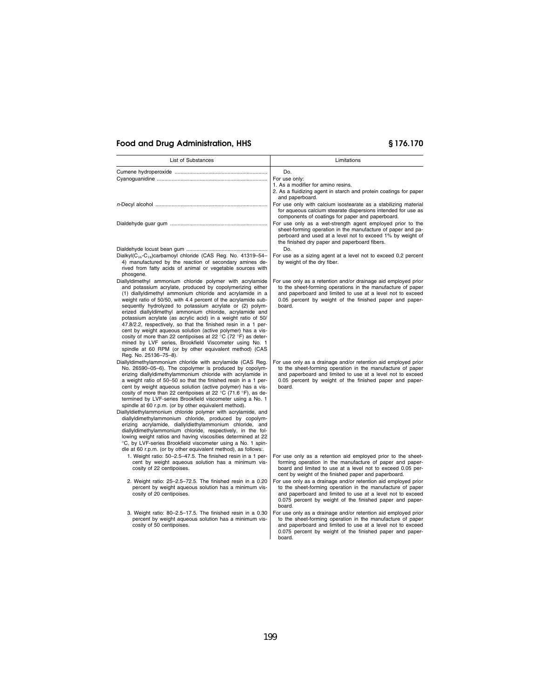| <b>List of Substances</b>                                                                                                                                                                                                                                                                                                                                                                                                                                                                                                                                                                                                                                                                                                                                                                     | Limitations                                                                                                                                                                                                                                                      |
|-----------------------------------------------------------------------------------------------------------------------------------------------------------------------------------------------------------------------------------------------------------------------------------------------------------------------------------------------------------------------------------------------------------------------------------------------------------------------------------------------------------------------------------------------------------------------------------------------------------------------------------------------------------------------------------------------------------------------------------------------------------------------------------------------|------------------------------------------------------------------------------------------------------------------------------------------------------------------------------------------------------------------------------------------------------------------|
|                                                                                                                                                                                                                                                                                                                                                                                                                                                                                                                                                                                                                                                                                                                                                                                               | Do.                                                                                                                                                                                                                                                              |
|                                                                                                                                                                                                                                                                                                                                                                                                                                                                                                                                                                                                                                                                                                                                                                                               | For use only:                                                                                                                                                                                                                                                    |
|                                                                                                                                                                                                                                                                                                                                                                                                                                                                                                                                                                                                                                                                                                                                                                                               | 1. As a modifier for amino resins.                                                                                                                                                                                                                               |
|                                                                                                                                                                                                                                                                                                                                                                                                                                                                                                                                                                                                                                                                                                                                                                                               | 2. As a fluidizing agent in starch and protein coatings for paper<br>and paperboard.                                                                                                                                                                             |
|                                                                                                                                                                                                                                                                                                                                                                                                                                                                                                                                                                                                                                                                                                                                                                                               | For use only with calcium isostearate as a stabilizing material<br>for aqueous calcium stearate dispersions intended for use as<br>components of coatings for paper and paperboard.                                                                              |
|                                                                                                                                                                                                                                                                                                                                                                                                                                                                                                                                                                                                                                                                                                                                                                                               | For use only as a wet-strength agent employed prior to the<br>sheet-forming operation in the manufacture of paper and pa-<br>perboard and used at a level not to exceed 1% by weight of<br>the finished dry paper and paperboard fibers.                         |
|                                                                                                                                                                                                                                                                                                                                                                                                                                                                                                                                                                                                                                                                                                                                                                                               | Do.                                                                                                                                                                                                                                                              |
| Dialkyl(C <sub>16</sub> -C <sub>18</sub> )carbamoyl chloride (CAS Req. No. 41319-54-<br>4) manufactured by the reaction of secondary amines de-<br>rived from fatty acids of animal or vegetable sources with<br>phosgene.                                                                                                                                                                                                                                                                                                                                                                                                                                                                                                                                                                    | For use as a sizing agent at a level not to exceed 0.2 percent<br>by weight of the dry fiber.                                                                                                                                                                    |
| Diallyldimethyl ammonium chloride polymer with acrylamide<br>and potassium acrylate, produced by copolymerizing either<br>(1) diallyldimethyl ammonium chloride and acrylamide in a<br>weight ratio of 50/50, with 4.4 percent of the acrylamide sub-<br>sequently hydrolyzed to potassium acrylate or (2) polym-<br>erized diallyldimethyl ammonium chloride, acrylamide and<br>potassium acrylate (as acrylic acid) in a weight ratio of 50/<br>47.8/2.2, respectively, so that the finished resin in a 1 per-<br>cent by weight aqueous solution (active polymer) has a vis-<br>cosity of more than 22 centipoises at 22 °C (72 °F) as deter-<br>mined by LVF series, Brookfield Viscometer using No. 1<br>spindle at 60 RPM (or by other equivalent method) (CAS<br>Reg. No. 25136-75-8). | For use only as a retention and/or drainage aid employed prior<br>to the sheet-forming operations in the manufacture of paper<br>and paperboard and limited to use at a level not to exceed<br>0.05 percent by weight of the finished paper and paper-<br>board. |
|                                                                                                                                                                                                                                                                                                                                                                                                                                                                                                                                                                                                                                                                                                                                                                                               |                                                                                                                                                                                                                                                                  |
| Diallyldimethylammonium chloride with acrylamide (CAS Reg.<br>No. 26590-05-6). The copolymer is produced by copolym-<br>erizing diallyldimethylammonium chloride with acrylamide in<br>a weight ratio of 50–50 so that the finished resin in a 1 per-<br>cent by weight aqueous solution (active polymer) has a vis-<br>cosity of more than 22 centipoises at 22 °C (71.6 °F), as de-<br>termined by LVF-series Brookfield viscometer using a No. 1<br>spindle at 60 r.p.m. (or by other equivalent method).                                                                                                                                                                                                                                                                                  | For use only as a drainage and/or retention aid employed prior<br>to the sheet-forming operation in the manufacture of paper<br>and paperboard and limited to use at a level not to exceed<br>0.05 percent by weight of the finished paper and paper-<br>board.  |
| Diallyldiethylammonium chloride polymer with acrylamide, and<br>diallyldimethylammonium chloride, produced by copolym-<br>erizing acrylamide, diallyldiethylammonium chloride, and<br>diallyldimethylammonium chloride, respectively, in the fol-<br>lowing weight ratios and having viscosities determined at 22<br>°C, by LVF-series Brookfield viscometer using a No. 1 spin-<br>dle at 60 r.p.m. (or by other equivalent method), as follows:.                                                                                                                                                                                                                                                                                                                                            |                                                                                                                                                                                                                                                                  |
| 1. Weight ratio: 50-2.5-47.5. The finished resin in a 1 per-<br>cent by weight aqueous solution has a minimum vis-<br>cosity of 22 centipoises.                                                                                                                                                                                                                                                                                                                                                                                                                                                                                                                                                                                                                                               | For use only as a retention aid employed prior to the sheet-<br>forming operation in the manufacture of paper and paper-<br>board and limited to use at a level not to exceed 0.05 per-<br>cent by weight of the finished paper and paperboard.                  |
| 2. Weight ratio: 25-2.5-72.5. The finished resin in a 0.20<br>percent by weight aqueous solution has a minimum vis-<br>cosity of 20 centipoises.                                                                                                                                                                                                                                                                                                                                                                                                                                                                                                                                                                                                                                              | For use only as a drainage and/or retention aid employed prior<br>to the sheet-forming operation in the manufacture of paper<br>and paperboard and limited to use at a level not to exceed<br>0.075 percent by weight of the finished paper and paper-<br>board. |
| 3. Weight ratio: 80-2.5-17.5. The finished resin in a 0.30<br>percent by weight aqueous solution has a minimum vis-<br>cosity of 50 centipoises.                                                                                                                                                                                                                                                                                                                                                                                                                                                                                                                                                                                                                                              | For use only as a drainage and/or retention aid employed prior<br>to the sheet-forming operation in the manufacture of paper<br>and paperboard and limited to use at a level not to exceed<br>0.075 percent by weight of the finished paper and paper-<br>board. |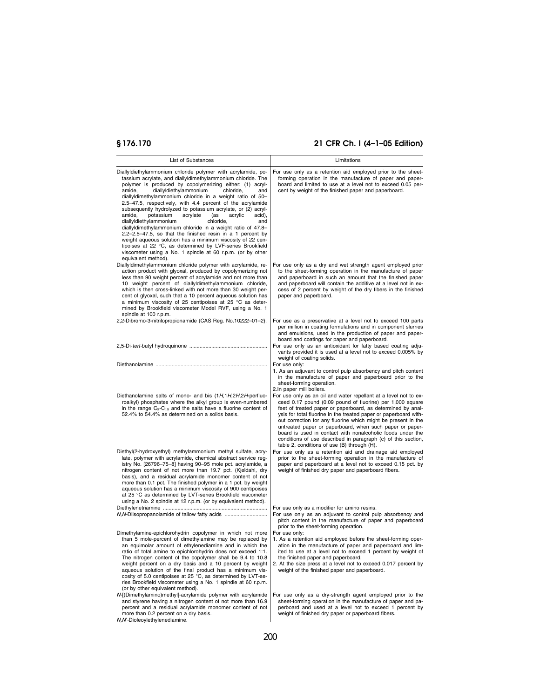| List of Substances                                                                                                                                                                                                                                                                                                                                                                                                                                                                                                                                                                                                                                                                                                                                                                                                                                                                                   | Limitations                                                                                                                                                                                                                                                                                                                                                                                                                                                                                                                                                                 |
|------------------------------------------------------------------------------------------------------------------------------------------------------------------------------------------------------------------------------------------------------------------------------------------------------------------------------------------------------------------------------------------------------------------------------------------------------------------------------------------------------------------------------------------------------------------------------------------------------------------------------------------------------------------------------------------------------------------------------------------------------------------------------------------------------------------------------------------------------------------------------------------------------|-----------------------------------------------------------------------------------------------------------------------------------------------------------------------------------------------------------------------------------------------------------------------------------------------------------------------------------------------------------------------------------------------------------------------------------------------------------------------------------------------------------------------------------------------------------------------------|
| Diallyldiethylammonium chloride polymer with acrylamide, po-<br>tassium acrylate, and diallyldimethylammonium chloride. The<br>polymer is produced by copolymerizing either: (1) acryl-<br>amide,<br>diallyldiethylammonium<br>chloride,<br>and<br>diallyldimethylammonium chloride in a weight ratio of 50-<br>2.5-47.5, respectively, with 4.4 percent of the acrylamide<br>subsequently hydrolyzed to potassium acrylate, or (2) acryl-<br>amide.<br>potassium<br>acrylate<br>acrylic<br>(as<br>acid),<br>diallyldiethylammonium<br>chloride,<br>and<br>diallyldimethylammonium chloride in a weight ratio of 47.8-<br>2.2-2.5-47.5, so that the finished resin in a 1 percent by<br>weight aqueous solution has a minimum viscosity of 22 cen-<br>tipoises at 22 °C, as determined by LVF-series Brookfield<br>viscometer using a No. 1 spindle at 60 r.p.m. (or by other<br>equivalent method). | For use only as a retention aid employed prior to the sheet-<br>forming operation in the manufacture of paper and paper-<br>board and limited to use at a level not to exceed 0.05 per-<br>cent by weight of the finished paper and paperboard.                                                                                                                                                                                                                                                                                                                             |
| Diallyldimethylammonium chloride polymer with acrylamide, re-<br>action product with glyoxal, produced by copolymerizing not<br>less than 90 weight percent of acrylamide and not more than<br>10 weight percent of diallyldimethylammonium chloride,<br>which is then cross-linked with not more than 30 weight per-<br>cent of glyoxal, such that a 10 percent aqueous solution has<br>a minimum viscosity of 25 centipoises at 25 °C as deter-<br>mined by Brookfield viscometer Model RVF, using a No. 1<br>spindle at 100 r.p.m.                                                                                                                                                                                                                                                                                                                                                                | For use only as a dry and wet strength agent employed prior<br>to the sheet-forming operation in the manufacture of paper<br>and paperboard in such an amount that the finished paper<br>and paperboard will contain the additive at a level not in ex-<br>cess of 2 percent by weight of the dry fibers in the finished<br>paper and paperboard.                                                                                                                                                                                                                           |
| 2,2-Dibromo-3-nitrilopropionamide (CAS Reg. No.10222-01-2).                                                                                                                                                                                                                                                                                                                                                                                                                                                                                                                                                                                                                                                                                                                                                                                                                                          | For use as a preservative at a level not to exceed 100 parts<br>per million in coating formulations and in component slurries<br>and emulsions, used in the production of paper and paper-<br>board and coatings for paper and paperboard.<br>For use only as an antioxidant for fatty based coating adju-<br>vants provided it is used at a level not to exceed 0.005% by                                                                                                                                                                                                  |
|                                                                                                                                                                                                                                                                                                                                                                                                                                                                                                                                                                                                                                                                                                                                                                                                                                                                                                      | weight of coating solids.<br>For use only:<br>1. As an adjuvant to control pulp absorbency and pitch content<br>in the manufacture of paper and paperboard prior to the<br>sheet-forming operation.<br>2.In paper mill boilers.                                                                                                                                                                                                                                                                                                                                             |
| Diethanolamine salts of mono- and bis (1H, 1H, 2H, 2H-perfluo-<br>roalkyl) phosphates where the alkyl group is even-numbered<br>in the range $C_8$ - $C_{18}$ and the salts have a fluorine content of<br>52.4% to 54.4% as determined on a solids basis.                                                                                                                                                                                                                                                                                                                                                                                                                                                                                                                                                                                                                                            | For use only as an oil and water repellant at a level not to ex-<br>ceed 0.17 pound (0.09 pound of fluorine) per 1,000 square<br>feet of treated paper or paperboard, as determined by anal-<br>ysis for total fluorine in the treated paper or paperboard with-<br>out correction for any fluorine which might be present in the<br>untreated paper or paperboard, when such paper or paper-<br>board is used in contact with nonalcoholic foods under the<br>conditions of use described in paragraph (c) of this section,<br>table 2, conditions of use (B) through (H). |
| Diethyl(2-hydroxyethyl) methylammonium methyl sulfate, acry-<br>late, polymer with acrylamide, chemical abstract service reg-<br>istry No. [26796-75-8] having 90-95 mole pct. acrylamide, a<br>nitrogen content of not more than 19.7 pct. (Kjeldahl, dry<br>basis), and a residual acrylamide monomer content of not<br>more than 0.1 pct. The finished polymer in a 1 pct. by weight<br>aqueous solution has a minimum viscosity of 900 centipoises<br>at 25 °C as determined by LVT-series Brookfield viscometer<br>using a No. 2 spindle at 12 r.p.m. (or by equivalent method).                                                                                                                                                                                                                                                                                                                | For use only as a retention aid and drainage aid employed<br>prior to the sheet-forming operation in the manufacture of<br>paper and paperboard at a level not to exceed 0.15 pct. by<br>weight of finished dry paper and paperboard fibers.                                                                                                                                                                                                                                                                                                                                |
| N, N-Diisopropanolamide of tallow fatty acids                                                                                                                                                                                                                                                                                                                                                                                                                                                                                                                                                                                                                                                                                                                                                                                                                                                        | For use only as a modifier for amino resins.<br>For use only as an adjuvant to control pulp absorbency and<br>pitch content in the manufacture of paper and paperboard<br>prior to the sheet-forming operation.                                                                                                                                                                                                                                                                                                                                                             |
| Dimethylamine-epichlorohydrin copolymer in which not more<br>than 5 mole-percent of dimethylamine may be replaced by<br>an equimolar amount of ethylenediamine and in which the<br>ratio of total amine to epichlorohydrin does not exceed 1:1.<br>The nitrogen content of the copolymer shall be 9.4 to 10.8<br>weight percent on a dry basis and a 10 percent by weight<br>aqueous solution of the final product has a minimum vis-<br>cosity of 5.0 centipoises at 25 °C, as determined by LVT-se-<br>ries Brookfield viscometer using a No. 1 spindle at 60 r.p.m.<br>(or by other equivalent method).                                                                                                                                                                                                                                                                                           | For use only:<br>1. As a retention aid employed before the sheet-forming oper-<br>ation in the manufacture of paper and paperboard and lim-<br>ited to use at a level not to exceed 1 percent by weight of<br>the finished paper and paperboard.<br>2. At the size press at a level not to exceed 0.017 percent by<br>weight of the finished paper and paperboard.                                                                                                                                                                                                          |
| N-[(Dimethylamino)methyl]-acrylamide polymer with acrylamide<br>and styrene having a nitrogen content of not more than 16.9<br>percent and a residual acrylamide monomer content of not<br>more than 0.2 percent on a dry basis.<br>N, N'-Dioleoylethylenediamine.                                                                                                                                                                                                                                                                                                                                                                                                                                                                                                                                                                                                                                   | For use only as a dry-strength agent employed prior to the<br>sheet-forming operation in the manufacture of paper and pa-<br>perboard and used at a level not to exceed 1 percent by<br>weight of finished dry paper or paperboard fibers.                                                                                                                                                                                                                                                                                                                                  |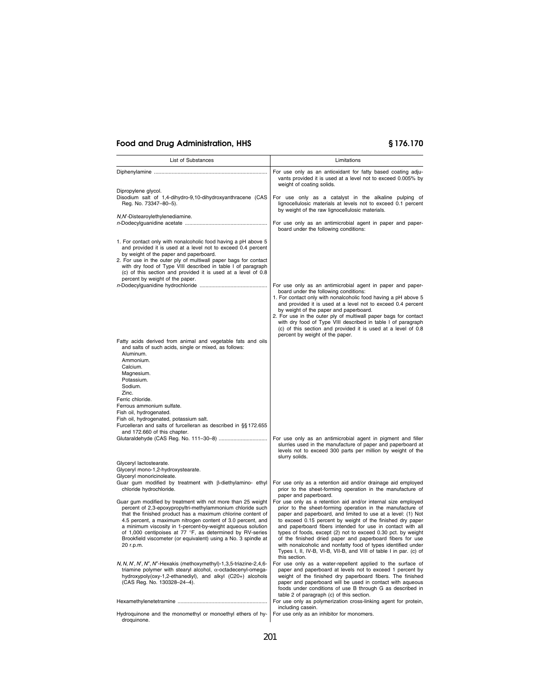| <b>List of Substances</b>                                                                                                                                                                                                                                                                                                                                                                                                                                          | Limitations                                                                                                                                                                                                                                                                                                                                                                                                                                                                                                                                                                                                  |
|--------------------------------------------------------------------------------------------------------------------------------------------------------------------------------------------------------------------------------------------------------------------------------------------------------------------------------------------------------------------------------------------------------------------------------------------------------------------|--------------------------------------------------------------------------------------------------------------------------------------------------------------------------------------------------------------------------------------------------------------------------------------------------------------------------------------------------------------------------------------------------------------------------------------------------------------------------------------------------------------------------------------------------------------------------------------------------------------|
|                                                                                                                                                                                                                                                                                                                                                                                                                                                                    | For use only as an antioxidant for fatty based coating adju-<br>vants provided it is used at a level not to exceed 0.005% by<br>weight of coating solids.                                                                                                                                                                                                                                                                                                                                                                                                                                                    |
| Dipropylene glycol.<br>Disodium salt of 1,4-dihydro-9,10-dihydroxyanthracene (CAS<br>Reg. No. 73347-80-5).                                                                                                                                                                                                                                                                                                                                                         | For use only as a catalyst in the alkaline pulping of<br>lignocellulosic materials at levels not to exceed 0.1 percent<br>by weight of the raw lignocellulosic materials.                                                                                                                                                                                                                                                                                                                                                                                                                                    |
| N, N'-Distearoylethylenediamine.                                                                                                                                                                                                                                                                                                                                                                                                                                   | For use only as an antimicrobial agent in paper and paper-<br>board under the following conditions:                                                                                                                                                                                                                                                                                                                                                                                                                                                                                                          |
| 1. For contact only with nonalcoholic food having a pH above 5<br>and provided it is used at a level not to exceed 0.4 percent<br>by weight of the paper and paperboard.<br>2. For use in the outer ply of multiwall paper bags for contact<br>with dry food of Type VIII described in table I of paragraph<br>(c) of this section and provided it is used at a level of 0.8<br>percent by weight of the paper.                                                    |                                                                                                                                                                                                                                                                                                                                                                                                                                                                                                                                                                                                              |
|                                                                                                                                                                                                                                                                                                                                                                                                                                                                    | For use only as an antimicrobial agent in paper and paper-<br>board under the following conditions:<br>1. For contact only with nonalcoholic food having a pH above 5<br>and provided it is used at a level not to exceed 0.4 percent<br>by weight of the paper and paperboard.<br>2. For use in the outer ply of multiwall paper bags for contact<br>with dry food of Type VIII described in table I of paragraph<br>(c) of this section and provided it is used at a level of 0.8<br>percent by weight of the paper.                                                                                       |
| Fatty acids derived from animal and vegetable fats and oils<br>and salts of such acids, single or mixed, as follows:<br>Aluminum.<br>Ammonium.<br>Calcium.<br>Magnesium.<br>Potassium.<br>Sodium.<br>Zinc.                                                                                                                                                                                                                                                         |                                                                                                                                                                                                                                                                                                                                                                                                                                                                                                                                                                                                              |
| Ferric chloride.<br>Ferrous ammonium sulfate.<br>Fish oil, hydrogenated.<br>Fish oil, hydrogenated, potassium salt.<br>Furcelleran and salts of furcelleran as described in §§172.655                                                                                                                                                                                                                                                                              |                                                                                                                                                                                                                                                                                                                                                                                                                                                                                                                                                                                                              |
| and 172.660 of this chapter.                                                                                                                                                                                                                                                                                                                                                                                                                                       | For use only as an antimicrobial agent in pigment and filler<br>slurries used in the manufacture of paper and paperboard at<br>levels not to exceed 300 parts per million by weight of the<br>slurry solids.                                                                                                                                                                                                                                                                                                                                                                                                 |
| Glyceryl lactostearate.<br>Glyceryl mono-1,2-hydroxystearate.<br>Glyceryl monoricinoleate.                                                                                                                                                                                                                                                                                                                                                                         |                                                                                                                                                                                                                                                                                                                                                                                                                                                                                                                                                                                                              |
| Guar gum modified by treatment with $\beta$ -diethylamino- ethyl<br>chloride hydrochloride.                                                                                                                                                                                                                                                                                                                                                                        | For use only as a retention aid and/or drainage aid employed<br>prior to the sheet-forming operation in the manufacture of<br>paper and paperboard.                                                                                                                                                                                                                                                                                                                                                                                                                                                          |
| Guar gum modified by treatment with not more than 25 weight<br>percent of 2,3-epoxypropyltri-methylammonium chloride such<br>that the finished product has a maximum chlorine content of<br>4.5 percent, a maximum nitrogen content of 3.0 percent, and<br>a minimum viscosity in 1-percent-by-weight aqueous solution<br>of 1,000 centipoises at 77 °F, as determined by RV-series<br>Brookfield viscometer (or equivalent) using a No. 3 spindle at<br>20 r.p.m. | For use only as a retention aid and/or internal size employed<br>prior to the sheet-forming operation in the manufacture of<br>paper and paperboard, and limited to use at a level: (1) Not<br>to exceed 0.15 percent by weight of the finished dry paper<br>and paperboard fibers intended for use in contact with all<br>types of foods, except (2) not to exceed 0.30 pct. by weight<br>of the finished dried paper and paperboard fibers for use<br>with nonalcoholic and nonfatty food of types identified under<br>Types I, II, IV-B, VI-B, VII-B, and VIII of table I in par. (c) of<br>this section. |
| N, N, N', N', N", N"-Hexakis (methoxymethyl)-1,3,5-triazine-2,4,6-<br>triamine polymer with stearyl alcohol, $\alpha$ -octadecenyl-omega-<br>hydroxypoly(oxy-1,2-ethanediyl), and alkyl (C20+) alcohols<br>(CAS Reg. No. 130328-24-4).                                                                                                                                                                                                                             | For use only as a water-repellent applied to the surface of<br>paper and paperboard at levels not to exceed 1 percent by<br>weight of the finished dry paperboard fibers. The finished<br>paper and paperboard will be used in contact with aqueous<br>foods under conditions of use B through G as described in<br>table 2 of paragraph (c) of this section.                                                                                                                                                                                                                                                |
|                                                                                                                                                                                                                                                                                                                                                                                                                                                                    | For use only as polymerization cross-linking agent for protein,<br>including casein.                                                                                                                                                                                                                                                                                                                                                                                                                                                                                                                         |
| Hydroquinone and the monomethyl or monoethyl ethers of hy-<br>droquinone.                                                                                                                                                                                                                                                                                                                                                                                          | For use only as an inhibitor for monomers.                                                                                                                                                                                                                                                                                                                                                                                                                                                                                                                                                                   |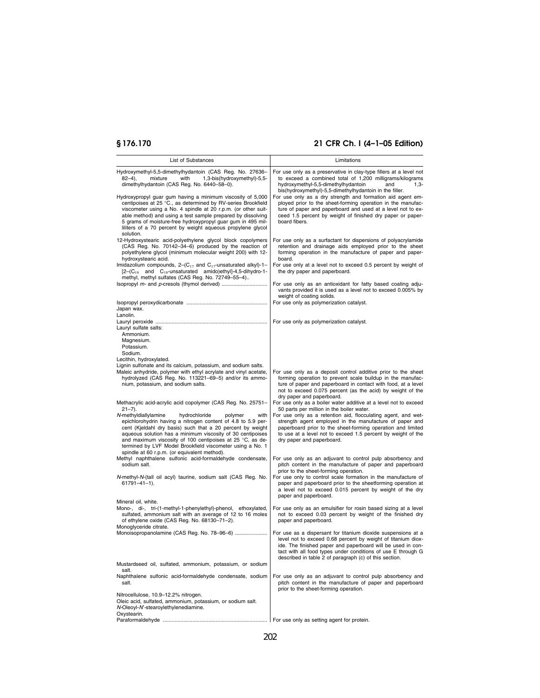| List of Substances                                                                                                                                                                                                                                                                                                                                                                                                                            | Limitations                                                                                                                                                                                                                                                                                                                       |
|-----------------------------------------------------------------------------------------------------------------------------------------------------------------------------------------------------------------------------------------------------------------------------------------------------------------------------------------------------------------------------------------------------------------------------------------------|-----------------------------------------------------------------------------------------------------------------------------------------------------------------------------------------------------------------------------------------------------------------------------------------------------------------------------------|
| Hydroxymethyl-5,5-dimethylhydantoin (CAS Reg. No. 27636-<br>$82 - 4$ ,<br>with<br>1,3-bis(hydroxymethyl)-5,5-<br>mixture<br>dimethylhydantoin (CAS Reg. No. 6440-58-0).                                                                                                                                                                                                                                                                       | For use only as a preservative in clay-type fillers at a level not<br>to exceed a combined total of 1,200 milligrams/kilograms<br>hydroxymethyl-5.5-dimethylhydantoin<br>and<br>$1,3-$<br>bis(hydroxymethyl)-5,5-dimethylhydantoin in the filler.                                                                                 |
| Hydroxypropyl guar gum having a minimum viscosity of 5,000<br>centipoises at 25 °C., as determined by RV-series Brookfield<br>viscometer using a No. 4 spindle at 20 r.p.m. (or other suit-<br>able method) and using a test sample prepared by dissolving<br>5 grams of moisture-free hydroxypropyl guar gum in 495 mil-<br>liliters of a 70 percent by weight aqueous propylene glycol<br>solution.                                         | For use only as a dry strength and formation aid agent em-<br>ployed prior to the sheet-forming operation in the manufac-<br>ture of paper and paperboard and used at a level not to ex-<br>ceed 1.5 percent by weight of finished dry paper or paper-<br>board fibers.                                                           |
| 12-Hydroxystearic acid-polyethylene glycol block copolymers<br>(CAS Reg. No. 70142-34-6) produced by the reaction of<br>polyethylene glycol (minimum molecular weight 200) with 12-<br>hydroxystearic acid.                                                                                                                                                                                                                                   | For use only as a surfactant for dispersions of polyacrylamide<br>retention and drainage aids employed prior to the sheet<br>forming operation in the manufacture of paper and paper-<br>board.                                                                                                                                   |
| Imidazolium compounds, $2-(C_{17}$ and $C_{17}$ -unsaturated alkyl)-1-<br>$[2-(C_{18}$ and $C_{18}$ -unsaturated amido)ethyl]-4,5-dihydro-1-<br>methyl, methyl sulfates (CAS Reg. No. 72749-55-4)                                                                                                                                                                                                                                             | For use only at a level not to exceed 0.5 percent by weight of<br>the dry paper and paperboard.                                                                                                                                                                                                                                   |
|                                                                                                                                                                                                                                                                                                                                                                                                                                               | For use only as an antioxidant for fatty based coating adju-<br>vants provided it is used as a level not to exceed 0.005% by<br>weight of coating solids.<br>For use only as polymerization catalyst.                                                                                                                             |
| Japan wax.                                                                                                                                                                                                                                                                                                                                                                                                                                    |                                                                                                                                                                                                                                                                                                                                   |
| Lanolin.                                                                                                                                                                                                                                                                                                                                                                                                                                      | For use only as polymerization catalyst.                                                                                                                                                                                                                                                                                          |
| Lauryl sulfate salts:<br>Ammonium.<br>Magnesium.<br>Potassium.                                                                                                                                                                                                                                                                                                                                                                                |                                                                                                                                                                                                                                                                                                                                   |
| Sodium.                                                                                                                                                                                                                                                                                                                                                                                                                                       |                                                                                                                                                                                                                                                                                                                                   |
| Lecithin, hydroxylated.<br>Lignin sulfonate and its calcium, potassium, and sodium salts.                                                                                                                                                                                                                                                                                                                                                     |                                                                                                                                                                                                                                                                                                                                   |
| Maleic anhydride, polymer with ethyl acrylate and vinyl acetate,<br>hydrolyzed (CAS Reg. No. 113221-69-5) and/or its ammo-<br>nium, potassium, and sodium salts.                                                                                                                                                                                                                                                                              | For use only as a deposit control additive prior to the sheet<br>forming operation to prevent scale buildup in the manufac-<br>ture of paper and paperboard in contact with food, at a level<br>not to exceed 0.075 percent (as the acid) by weight of the<br>dry paper and paperboard.                                           |
| Methacrylic acid-acrylic acid copolymer (CAS Reg. No. 25751-                                                                                                                                                                                                                                                                                                                                                                                  | For use only as a boiler water additive at a level not to exceed                                                                                                                                                                                                                                                                  |
| $21 - 7$ ).<br>N-methyldiallylamine<br>hydrochloride<br>polymer<br>with<br>epichlorohydrin having a nitrogen content of 4.8 to 5.9 per-<br>cent (Kjeldahl dry basis) such that a 20 percent by weight<br>aqueous solution has a minimum viscosity of 30 centipoises<br>and maximum viscosity of 100 centipoises at 25 °C, as de-<br>termined by LVF Model Brookfield viscometer using a No. 1<br>spindle at 60 r.p.m. (or equivalent method). | 50 parts per million in the boiler water.<br>For use only as a retention aid, flocculating agent, and wet-<br>strength agent employed in the manufacture of paper and<br>paperboard prior to the sheet-forming operation and limited<br>to use at a level not to exceed 1.5 percent by weight of the<br>dry paper and paperboard. |
| Methyl naphthalene sulfonic acid-formaldehyde condensate,<br>sodium salt.                                                                                                                                                                                                                                                                                                                                                                     | For use only as an adjuvant to control pulp absorbency and<br>pitch content in the manufacture of paper and paperboard<br>prior to the sheet-forming operation.                                                                                                                                                                   |
| N-methyl-N-(tall oil acyl) taurine, sodium salt (CAS Reg. No.<br>$61791 - 41 - 1$ ).                                                                                                                                                                                                                                                                                                                                                          | For use only to control scale formation in the manufacture of<br>paper and paperboard prior to the sheetforming operation at<br>a level not to exceed 0.015 percent by weight of the dry<br>paper and paperboard.                                                                                                                 |
| Mineral oil, white.<br>Mono-, di-, tri-(1-methyl-1-phenylethyl)-phenol, ethoxylated,<br>sulfated, ammonium salt with an average of 12 to 16 moles<br>of ethylene oxide (CAS Reg. No. 68130-71-2).<br>Monoglyceride citrate.                                                                                                                                                                                                                   | For use only as an emulsifier for rosin based sizing at a level<br>not to exceed 0.03 percent by weight of the finished dry<br>paper and paperboard.                                                                                                                                                                              |
| Monoisopropanolamine (CAS Reg. No. 78–96–6)                                                                                                                                                                                                                                                                                                                                                                                                   | For use as a dispersant for titanium dioxide suspensions at a<br>level not to exceed 0.68 percent by weight of titanium diox-<br>ide. The finished paper and paperboard will be used in con-<br>tact with all food types under conditions of use E through G<br>described in table 2 of paragraph (c) of this section.            |
| Mustardseed oil, sulfated, ammonium, potassium, or sodium<br>salt.                                                                                                                                                                                                                                                                                                                                                                            |                                                                                                                                                                                                                                                                                                                                   |
| Naphthalene sulfonic acid-formaldehyde condensate, sodium<br>salt.                                                                                                                                                                                                                                                                                                                                                                            | For use only as an adjuvant to control pulp absorbency and<br>pitch content in the manufacture of paper and paperboard<br>prior to the sheet-forming operation.                                                                                                                                                                   |
| Nitrocellulose, 10.9-12.2% nitrogen.<br>Oleic acid, sulfated, ammonium, potassium, or sodium salt.<br>N-Oleoyl-N'-stearoylethylenediamine.<br>Oxystearin.                                                                                                                                                                                                                                                                                     |                                                                                                                                                                                                                                                                                                                                   |
|                                                                                                                                                                                                                                                                                                                                                                                                                                               |                                                                                                                                                                                                                                                                                                                                   |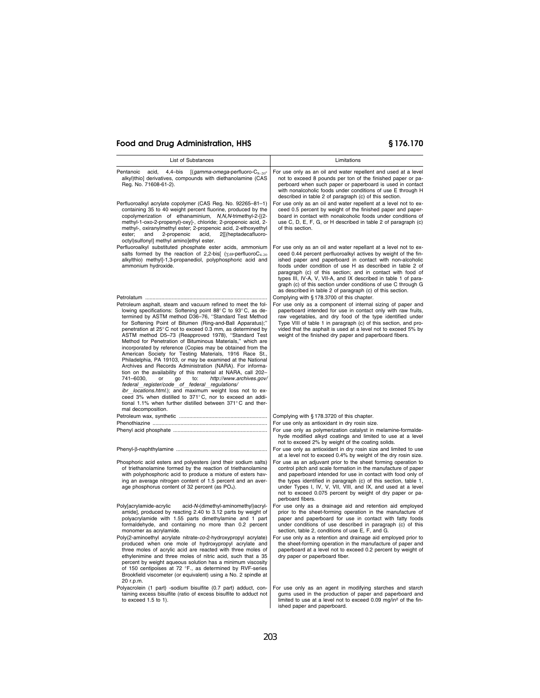| List of Substances                                                                                                                                                                                                                                                                                                                                                                                                                                                                                                                                                                                                                                                                                                                                                                                                                                                                                                                                                                                                                                        | Limitations                                                                                                                                                                                                                                                                                                                                                                                                                                                                                                                |
|-----------------------------------------------------------------------------------------------------------------------------------------------------------------------------------------------------------------------------------------------------------------------------------------------------------------------------------------------------------------------------------------------------------------------------------------------------------------------------------------------------------------------------------------------------------------------------------------------------------------------------------------------------------------------------------------------------------------------------------------------------------------------------------------------------------------------------------------------------------------------------------------------------------------------------------------------------------------------------------------------------------------------------------------------------------|----------------------------------------------------------------------------------------------------------------------------------------------------------------------------------------------------------------------------------------------------------------------------------------------------------------------------------------------------------------------------------------------------------------------------------------------------------------------------------------------------------------------------|
| Pentanoic<br>acid,<br>4,4-bis<br>$[(gamma-conega-perfluoro-C8-20 -$<br>alkyl)thio] derivatives, compounds with diethanolamine (CAS<br>Reg. No. 71608-61-2).                                                                                                                                                                                                                                                                                                                                                                                                                                                                                                                                                                                                                                                                                                                                                                                                                                                                                               | For use only as an oil and water repellent and used at a level<br>not to exceed 8 pounds per ton of the finished paper or pa-<br>perboard when such paper or paperboard is used in contact<br>with nonalcoholic foods under conditions of use E through H<br>described in table 2 of paragraph (c) of this section.                                                                                                                                                                                                        |
| Perfluoroalkyl acrylate copolymer (CAS Reg. No. 92265-81-1)<br>containing 35 to 40 weight percent fluorine, produced by the<br>copolymerization of ethanaminium, N,N,N-trimethyl-2-[(2-<br>methyl-1-oxo-2-propenyl)-oxy]-, chloride; 2-propenoic acid, 2-<br>methyl-, oxiranylmethyl ester; 2-propenoic acid, 2-ethoxyethyl<br>2-propenoic<br>ester;<br>and<br>acid,<br>2[[(heptadecafluoro-<br>octyl)sulfonyl] methyl amino]ethyl ester.                                                                                                                                                                                                                                                                                                                                                                                                                                                                                                                                                                                                                 | For use only as an oil and water repellent at a level not to ex-<br>ceed 0.5 percent by weight of the finished paper and paper-<br>board in contact with nonalcoholic foods under conditions of<br>use C, D, E, F, G, or H described in table 2 of paragraph (c)<br>of this section.                                                                                                                                                                                                                                       |
| Perfluoroalkyl substituted phosphate ester acids, ammonium<br>salts formed by the reaction of 2,2-bis[ $(\gamma, \omega$ -perfluoroC <sub>4-20</sub><br>alkylthio) methyl]-1,3-propanediol, polyphosphoric acid and<br>ammonium hydroxide.                                                                                                                                                                                                                                                                                                                                                                                                                                                                                                                                                                                                                                                                                                                                                                                                                | For use only as an oil and water repellant at a level not to ex-<br>ceed 0.44 percent perfluoroalkyl actives by weight of the fin-<br>ished paper and paperboard in contact with non-alcoholic<br>foods under condition of use H as described in table 2 of<br>paragraph (c) of this section; and in contact with food of<br>types III, IV-A, V, VII-A, and IX described in table 1 of para-<br>graph (c) of this section under conditions of use C through G<br>as described in table 2 of paragraph (c) of this section. |
| Petroleum asphalt, steam and vacuum refined to meet the fol-<br>lowing specifications: Softening point 88°C to 93°C, as de-<br>termined by ASTM method D36-76, "Standard Test Method<br>for Softening Point of Bitumen (Ring-and-Ball Apparatus);"<br>penetration at 25°C not to exceed 0.3 mm, as determined by<br>ASTM method D5-73 (Reapproved 1978), "Standard Test<br>Method for Penetration of Bituminous Materials," which are<br>incorporated by reference (Copies may be obtained from the<br>American Society for Testing Materials, 1916 Race St.,<br>Philadelphia, PA 19103, or may be examined at the National<br>Archives and Records Administration (NARA). For informa-<br>tion on the availability of this material at NARA, call 202-<br>741-6030.<br>http://www.archives.gov/<br>to:<br>or<br>go<br>federal register/code of federal regulations/<br>ibr_locations.html.); and maximum weight loss not to ex-<br>ceed 3% when distilled to 371°C, nor to exceed an addi-<br>tional 1.1% when further distilled between 371°C and ther- | Complying with § 178.3700 of this chapter.<br>For use only as a component of internal sizing of paper and<br>paperboard intended for use in contact only with raw fruits,<br>raw vegetables, and dry food of the type identified under<br>Type VIII of table 1 in paragraph (c) of this section, and pro-<br>vided that the asphalt is used at a level not to exceed 5% by<br>weight of the finished dry paper and paperboard fibers.                                                                                      |
| mal decomposition.                                                                                                                                                                                                                                                                                                                                                                                                                                                                                                                                                                                                                                                                                                                                                                                                                                                                                                                                                                                                                                        | Complying with § 178.3720 of this chapter.                                                                                                                                                                                                                                                                                                                                                                                                                                                                                 |
|                                                                                                                                                                                                                                                                                                                                                                                                                                                                                                                                                                                                                                                                                                                                                                                                                                                                                                                                                                                                                                                           | For use only as antioxidant in dry rosin size.                                                                                                                                                                                                                                                                                                                                                                                                                                                                             |
|                                                                                                                                                                                                                                                                                                                                                                                                                                                                                                                                                                                                                                                                                                                                                                                                                                                                                                                                                                                                                                                           | For use only as polymerization catalyst in melamine-formalde-<br>hyde modified alkyd coatings and limited to use at a level<br>not to exceed 2% by weight of the coating solids.                                                                                                                                                                                                                                                                                                                                           |
|                                                                                                                                                                                                                                                                                                                                                                                                                                                                                                                                                                                                                                                                                                                                                                                                                                                                                                                                                                                                                                                           | For use only as antioxidant in dry rosin size and limited to use<br>at a level not to exceed 0.4% by weight of the dry rosin size.                                                                                                                                                                                                                                                                                                                                                                                         |
| Phosphoric acid esters and polyesters (and their sodium salts)<br>of triethanolamine formed by the reaction of triethanolamine<br>with polyphosphoric acid to produce a mixture of esters hav-<br>ing an average nitrogen content of 1.5 percent and an aver-<br>age phosphorus content of 32 percent (as PO <sub>4</sub> ).                                                                                                                                                                                                                                                                                                                                                                                                                                                                                                                                                                                                                                                                                                                              | For use as an adjuvant prior to the sheet forming operation to<br>control pitch and scale formation in the manufacture of paper<br>and paperboard intended for use in contact with food only of<br>the types identified in paragraph (c) of this section, table 1,<br>under Types I, IV, V, VII, VIII, and IX, and used at a level<br>not to exceed 0.075 percent by weight of dry paper or pa-<br>perboard fibers.                                                                                                        |
| acid-N-(dimethyl-aminomethyl)acryl-<br>Poly[acrylamide-acrylic<br>amide], produced by reacting 2.40 to 3.12 parts by weight of<br>polyacrylamide with 1.55 parts dimethylamine and 1 part<br>formaldehyde, and containing no more than 0.2 percent<br>monomer as acrylamide.                                                                                                                                                                                                                                                                                                                                                                                                                                                                                                                                                                                                                                                                                                                                                                              | For use only as a drainage aid and retention aid employed<br>prior to the sheet-forming operation in the manufacture of<br>paper and paperboard for use in contact with fatty foods<br>under conditions of use described in paragraph (c) of this<br>section, table 2, conditions of use E, F, and G.                                                                                                                                                                                                                      |
| Poly(2-aminoethyl acrylate nitrate-co-2-hydroxypropyl acrylate)<br>produced when one mole of hydroxypropyl acrylate and<br>three moles of acrylic acid are reacted with three moles of<br>ethylenimine and three moles of nitric acid, such that a 35<br>percent by weight aqueous solution has a minimum viscosity<br>of 150 centipoises at 72 °F., as determined by RVF-series<br>Brookfield viscometer (or equivalent) using a No. 2 spindle at<br>20 r.p.m.                                                                                                                                                                                                                                                                                                                                                                                                                                                                                                                                                                                           | For use only as a retention and drainage aid employed prior to<br>the sheet-forming operation in the manufacture of paper and<br>paperboard at a level not to exceed 0.2 percent by weight of<br>dry paper or paperboard fiber.                                                                                                                                                                                                                                                                                            |
| Polyacrolein (1 part) -sodium bisulfite (0.7 part) adduct, con-<br>taining excess bisulfite (ratio of excess bisulfite to adduct not<br>to exceed $1.5$ to $1$ ).                                                                                                                                                                                                                                                                                                                                                                                                                                                                                                                                                                                                                                                                                                                                                                                                                                                                                         | For use only as an agent in modifying starches and starch<br>gums used in the production of paper and paperboard and<br>limited to use at a level not to exceed 0.09 mg/in <sup>2</sup> of the fin-<br>ished paper and paperboard.                                                                                                                                                                                                                                                                                         |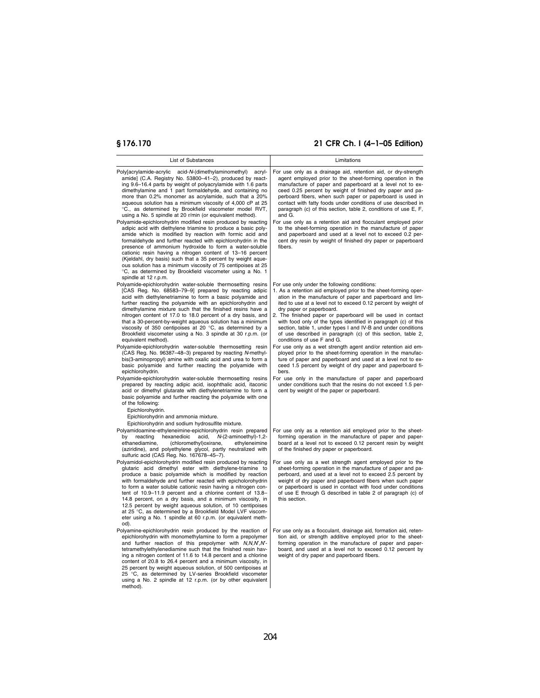| List of Substances                                                                                                                                                                                                                                                                                                                                                                                                                                                                                                                                                                                                                                                                                                                                                                                                                                                                                                                                                                                                                                                                                                                                                                                                                                                                                                       | Limitations                                                                                                                                                                                                                                                                                                                                                                                                                                                                                                                                                                                                                                                                                                                                                                                                                                                                                                                                                                                                               |
|--------------------------------------------------------------------------------------------------------------------------------------------------------------------------------------------------------------------------------------------------------------------------------------------------------------------------------------------------------------------------------------------------------------------------------------------------------------------------------------------------------------------------------------------------------------------------------------------------------------------------------------------------------------------------------------------------------------------------------------------------------------------------------------------------------------------------------------------------------------------------------------------------------------------------------------------------------------------------------------------------------------------------------------------------------------------------------------------------------------------------------------------------------------------------------------------------------------------------------------------------------------------------------------------------------------------------|---------------------------------------------------------------------------------------------------------------------------------------------------------------------------------------------------------------------------------------------------------------------------------------------------------------------------------------------------------------------------------------------------------------------------------------------------------------------------------------------------------------------------------------------------------------------------------------------------------------------------------------------------------------------------------------------------------------------------------------------------------------------------------------------------------------------------------------------------------------------------------------------------------------------------------------------------------------------------------------------------------------------------|
| Poly[acrylamide-acrylic acid-N-(dimethylaminomethyl)<br>acryl-<br>amide] (C.A. Registry No. 53800-41-2), produced by react-<br>ing 9.6–16.4 parts by weight of polyacrylamide with 1.6 parts<br>dimethylamine and 1 part formaldehyde, and containing no<br>more than 0.2% monomer as acrylamide, such that a 20%<br>aqueous solution has a minimum viscosity of 4,000 cP at 25<br>°C., as determined by Brookfield viscometer model RVT,<br>using a No. 5 spindle at 20 r/min (or equivalent method).<br>Polyamide-epichlorohydrin modified resin produced by reacting<br>adipic acid with diethylene triamine to produce a basic poly-<br>amide which is modified by reaction with formic acid and<br>formaldehyde and further reacted with epichlorohydrin in the<br>presence of ammonium hydroxide to form a water-soluble<br>cationic resin having a nitrogen content of 13-16 percent<br>(Kjeldahl, dry basis) such that a 35 percent by weight aque-<br>ous solution has a minimum viscosity of 75 centipoises at 25                                                                                                                                                                                                                                                                                              | For use only as a drainage aid, retention aid, or dry-strength<br>agent employed prior to the sheet-forming operation in the<br>manufacture of paper and paperboard at a level not to ex-<br>ceed 0.25 percent by weight of finished dry paper and pa-<br>perboard fibers, when such paper or paperboard is used in<br>contact with fatty foods under conditions of use described in<br>paragraph (c) of this section, table 2, conditions of use E, F,<br>and G.<br>For use only as a retention aid and flocculant employed prior<br>to the sheet-forming operation in the manufacture of paper<br>and paperboard and used at a level not to exceed 0.2 per-<br>cent dry resin by weight of finished dry paper or paperboard<br>fibers.                                                                                                                                                                                                                                                                                  |
| °C, as determined by Brookfield viscometer using a No. 1<br>spindle at 12 r.p.m.<br>Polyamide-epichlorohydrin water-soluble thermosetting resins<br>[CAS Reg. No. 68583-79-9] prepared by reacting adipic<br>acid with diethylenetriamine to form a basic polyamide and<br>further reacting the polyamide with an epichlorohydrin and<br>dimethylamine mixture such that the finished resins have a<br>nitrogen content of 17.0 to 18.0 percent of a dry basis, and<br>that a 30-percent-by-weight aqueous solution has a minimum<br>viscosity of 350 centipoises at 20 $\degree$ C, as determined by a<br>Brookfield viscometer using a No. 3 spindle at 30 r.p.m. (or<br>equivalent method).<br>Polyamide-epichlorohydrin water-soluble thermosetting resin<br>(CAS Reg. No. 96387-48-3) prepared by reacting N-methyl-<br>bis(3-aminopropyl) amine with oxalic acid and urea to form a<br>basic polyamide and further reacting the polyamide with<br>epichlorohydrin.<br>Polyamide-epichlorohydrin water-soluble thermosetting resins<br>prepared by reacting adipic acid, isophthalic acid, itaconic<br>acid or dimethyl glutarate with diethylenetriamine to form a<br>basic polyamide and further reacting the polyamide with one<br>of the following:<br>Epichlorohydrin.<br>Epichlorohydrin and ammonia mixture. | For use only under the following conditions:<br>1. As a retention aid employed prior to the sheet-forming oper-<br>ation in the manufacture of paper and paperboard and lim-<br>ited to use at a level not to exceed 0.12 percent by weight of<br>dry paper or paperboard.<br>2. The finished paper or paperboard will be used in contact<br>with food only of the types identified in paragraph (c) of this<br>section, table 1, under types I and IV-B and under conditions<br>of use described in paragraph (c) of this section, table 2,<br>conditions of use F and G.<br>For use only as a wet strength agent and/or retention aid em-<br>ployed prior to the sheet-forming operation in the manufac-<br>ture of paper and paperboard and used at a level not to ex-<br>ceed 1.5 percent by weight of dry paper and paperboard fi-<br>bers.<br>For use only in the manufacture of paper and paperboard<br>under conditions such that the resins do not exceed 1.5 per-<br>cent by weight of the paper or paperboard. |
| Epichlorohydrin and sodium hydrosulfite mixture.<br>Polyamidoamine-ethyleneimine-epichlorohydrin resin prepared<br>reacting<br>hexanedioic<br>acid,<br>N-(2-aminoethyl)-1,2-<br>by<br>ethanediamine,<br>(chloromethyl) oxirane,<br>ethyleneimine<br>(aziridine), and polyethylene glycol, partly neutralized with<br>sulfuric acid (CAS Reg. No. 167678-45-7).<br>Polyamidol-epichlorohydrin modified resin produced by reacting<br>glutaric acid dimethyl ester with diethylene-triamine to<br>produce a basic polyamide which is modified by reaction<br>with formaldehyde and further reacted with epicholorohydrin<br>to form a water soluble cationic resin having a nitrogen con-<br>tent of 10.9-11.9 percent and a chlorine content of 13.8-<br>14.8 percent, on a dry basis, and a minimum viscosity, in<br>12.5 percent by weight aqueous solution, of 10 centipoises<br>at 25 °C, as determined by a Brookfield Model LVF viscom-<br>eter using a No. 1 spindle at 60 r.p.m. (or equivalent meth-                                                                                                                                                                                                                                                                                                             | For use only as a retention aid employed prior to the sheet-<br>forming operation in the manufacture of paper and paper-<br>board at a level not to exceed 0.12 percent resin by weight<br>of the finished dry paper or paperboard.<br>For use only as a wet strength agent employed prior to the<br>sheet-forming operation in the manufacture of paper and pa-<br>perboard, and used at a level not to exceed 2.5 percent by<br>weight of dry paper and paperboard fibers when such paper<br>or paperboard is used in contact with food under conditions<br>of use E through G described in table 2 of paragraph (c) of<br>this section.                                                                                                                                                                                                                                                                                                                                                                                |
| od).<br>Polyamine-epichlorohydrin resin produced by the reaction of<br>epichlorohydrin with monomethylamine to form a prepolymer<br>and further reaction of this prepolymer with N,N,N',N'-<br>tetramethylethylenediamine such that the finished resin hav-<br>ing a nitrogen content of 11.6 to 14.8 percent and a chlorine<br>content of 20.8 to 26.4 percent and a minimum viscosity, in<br>25 percent by weight aqueous solution, of 500 centipoises at<br>25 °C, as determined by LV-series Brookfield viscometer<br>using a No. 2 spindle at 12 r.p.m. (or by other equivalent<br>method).                                                                                                                                                                                                                                                                                                                                                                                                                                                                                                                                                                                                                                                                                                                         | For use only as a flocculant, drainage aid, formation aid, reten-<br>tion aid, or strength additive employed prior to the sheet-<br>forming operation in the manufacture of paper and paper-<br>board, and used at a level not to exceed 0.12 percent by<br>weight of dry paper and paperboard fibers.                                                                                                                                                                                                                                                                                                                                                                                                                                                                                                                                                                                                                                                                                                                    |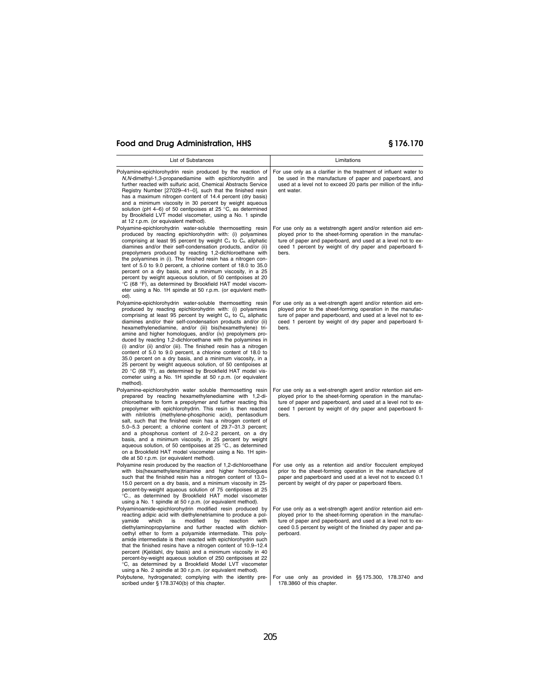| List of Substances                                                                                                                                                                                                                                                                                                                                                                                                                                                                                                                                                                                                                                                                                                                                                                                                                                             | Limitations                                                                                                                                                                                                                                                                                                                          |
|----------------------------------------------------------------------------------------------------------------------------------------------------------------------------------------------------------------------------------------------------------------------------------------------------------------------------------------------------------------------------------------------------------------------------------------------------------------------------------------------------------------------------------------------------------------------------------------------------------------------------------------------------------------------------------------------------------------------------------------------------------------------------------------------------------------------------------------------------------------|--------------------------------------------------------------------------------------------------------------------------------------------------------------------------------------------------------------------------------------------------------------------------------------------------------------------------------------|
|                                                                                                                                                                                                                                                                                                                                                                                                                                                                                                                                                                                                                                                                                                                                                                                                                                                                |                                                                                                                                                                                                                                                                                                                                      |
| Polyamine-epichlorohydrin resin produced by the reaction of<br>N, N-dimethyl-1, 3-propanediamine with epichlorohydrin and<br>further reacted with sulfuric acid, Chemical Abstracts Service<br>Registry Number [27029-41-0], such that the finished resin<br>has a maximum nitrogen content of 14.4 percent (dry basis)<br>and a minimum viscosity in 30 percent by weight aqueous<br>solution (pH 4-6) of 50 centipoises at 25 °C, as determined<br>by Brookfield LVT model viscometer, using a No. 1 spindle<br>at 12 r.p.m. (or equivalent method).                                                                                                                                                                                                                                                                                                         | For use only as a clarifier in the treatment of influent water to<br>be used in the manufacture of paper and paperboard, and<br>used at a level not to exceed 20 parts per million of the influ-<br>ent water.                                                                                                                       |
| Polyamine-epichlorohydrin water-soluble thermosetting resin<br>produced by reacting epichlorohydrin with: (i) polyamines<br>comprising at least 95 percent by weight $C_4$ to $C_6$ aliphatic<br>diamines and/or their self-condensation products, and/or (ii)<br>prepolymers produced by reacting 1,2-dichloroethane with<br>the polyamines in (i). The finished resin has a nitrogen con-<br>tent of 5.0 to 9.0 percent, a chlorine content of 18.0 to 35.0<br>percent on a dry basis, and a minimum viscosity, in a 25<br>percent by weight aqueous solution, of 50 centipoises at 20<br>°C (68 °F), as determined by Brookfield HAT model viscom-<br>eter using a No. 1H spindle at 50 r.p.m. (or equivlent meth-<br>od).                                                                                                                                  | For use only as a wetstrength agent and/or retention aid em-<br>ployed prior to the sheet-forming operation in the manufac-<br>ture of paper and paperboard, and used at a level not to ex-<br>ceed 1 percent by weight of dry paper and paperboard fi-<br>bers.                                                                     |
| Polyamine-epichlorohydrin water-soluble thermosetting resin<br>produced by reacting epichlorohydrin with: (i) polyamines<br>comprising at least 95 percent by weight $C_4$ to $C_6$ aliphatic<br>diamines and/or their self-condensation products and/or (ii)<br>hexamethylenediamine, and/or (iii) bis(hexamethylene) tri-<br>amine and higher homologues, and/or (iv) prepolymers pro-<br>duced by reacting 1,2-dichloroethane with the polyamines in<br>(i) and/or (ii) and/or (iii). The finished resin has a nitrogen<br>content of 5.0 to 9.0 percent, a chlorine content of 18.0 to<br>35.0 percent on a dry basis, and a minimum viscosity, in a<br>25 percent by weight aqueous solution, of 50 centipoises at<br>20 °C (68 °F), as determined by Brookfield HAT model vis-<br>cometer using a No. 1H spindle at 50 r.p.m. (or equivalent<br>method). | For use only as a wet-strength agent and/or retention aid em-<br>ployed prior to the sheet-forming operation in the manufac-<br>ture of paper and paperboard, and used at a level not to ex-<br>ceed 1 percent by weight of dry paper and paperboard fi-<br>bers.                                                                    |
| Polyamine-epichlorohydrin water soluble thermosetting resin<br>prepared by reacting hexamethylenediamine with 1,2-di-<br>chloroethane to form a prepolymer and further reacting this<br>prepolymer with epichlorohydrin. This resin is then reacted<br>with nitrilotris (methylene-phosphonic acid), pentasodium<br>salt, such that the finished resin has a nitrogen content of<br>5.0–5.3 percent; a chlorine content of 29.7–31.3 percent;<br>and a phosphorus content of 2.0-2.2 percent, on a dry<br>basis, and a minimum viscosity, in 25 percent by weight<br>aqueous solution, of 50 centipoises at 25 °C., as determined<br>on a Brookfield HAT model viscometer using a No. 1H spin-<br>dle at 50 r.p.m. (or equivalent method).                                                                                                                     | For use only as a wet-strength agent and/or retention aid em-<br>ployed prior to the sheet-forming operation in the manufac-<br>ture of paper and paperboard, and used at a level not to ex-<br>ceed 1 percent by weight of dry paper and paperboard fi-<br>bers.                                                                    |
| Polyamine resin produced by the reaction of 1,2-dichloroethane<br>with bis(hexamethylene)triamine and higher homologues<br>such that the finished resin has a nitrogen content of 13.0-<br>15.0 percent on a dry basis, and a minimum viscosity in 25-<br>percent-by-weight aqueous solution of 75 centipoises at 25<br>°C., as determined by Brookfield HAT model viscometer<br>using a No. 1 spindle at 50 r.p.m. (or equivalent method).                                                                                                                                                                                                                                                                                                                                                                                                                    | For use only as a retention aid and/or flocculent employed<br>prior to the sheet-forming operation in the manufacture of<br>paper and paperboard and used at a level not to exceed 0.1<br>percent by weight of dry paper or paperboard fibers.                                                                                       |
| Polyaminoamide-epichlorohydrin modified resin produced by<br>reacting adipic acid with diethylenetriamine to produce a pol-<br>which<br>is<br>modified<br>by<br>reaction<br>with<br>yamide<br>diethylaminopropylamine and further reacted with dichlor-<br>oethyl ether to form a polyamide intermediate. This poly-<br>amide intermediate is then reacted with epichlorohydrin such<br>that the finished resins have a nitrogen content of 10.9-12.4<br>percent (Kjeldahl, dry basis) and a minimum viscosity in 40<br>percent-by-weight aqueous solution of 250 centipoises at 22<br>°C, as determined by a Brookfield Model LVT viscometer<br>using a No. 2 spindle at 30 r.p.m. (or equivalent method).<br>Polybutene, hydrogenated; complying with the identity pre-                                                                                      | For use only as a wet-strength agent and/or retention aid em-<br>ployed prior to the sheet-forming operation in the manufac-<br>ture of paper and paperboard, and used at a level not to ex-<br>ceed 0.5 percent by weight of the finished dry paper and pa-<br>perboard.<br>For use only as provided in $\S$ §175.300, 178.3740 and |
| scribed under § 178.3740(b) of this chapter.                                                                                                                                                                                                                                                                                                                                                                                                                                                                                                                                                                                                                                                                                                                                                                                                                   | 178.3860 of this chapter.                                                                                                                                                                                                                                                                                                            |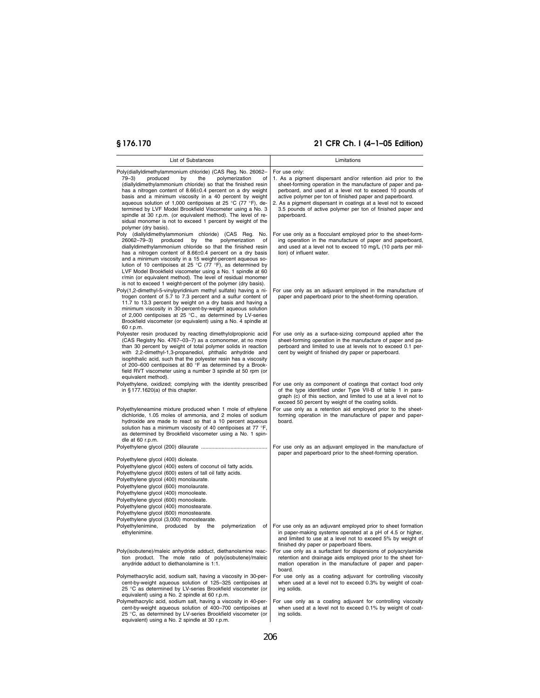| List of Substances                                                                                                                                                                                                                                                                                                                                                                                                                                                                                              | Limitations                                                                                                                                                                                                                                                                                                                         |
|-----------------------------------------------------------------------------------------------------------------------------------------------------------------------------------------------------------------------------------------------------------------------------------------------------------------------------------------------------------------------------------------------------------------------------------------------------------------------------------------------------------------|-------------------------------------------------------------------------------------------------------------------------------------------------------------------------------------------------------------------------------------------------------------------------------------------------------------------------------------|
| Poly(diallyldimethylammonium chloride) (CAS Reg. No. 26062-<br>$79 - 3$<br>produced<br>by<br>the<br>polymerization<br>of                                                                                                                                                                                                                                                                                                                                                                                        | For use only:<br>1. As a pigment dispersant and/or retention aid prior to the                                                                                                                                                                                                                                                       |
| (diallyldimethylammonium chloride) so that the finished resin<br>has a nitrogen content of 8.66±0.4 percent on a dry weight<br>basis and a minimum viscosity in a 40 percent by weight<br>aqueous solution of 1,000 centipoises at 25 °C (77 °F), de-<br>termined by LVF Model Brookfield Viscometer using a No. 3<br>spindle at 30 r.p.m. (or equivalent method). The level of re-<br>sidual monomer is not to exceed 1 percent by weight of the                                                               | sheet-forming operation in the manufacture of paper and pa-<br>perboard, and used at a level not to exceed 10 pounds of<br>active polymer per ton of finished paper and paperboard.<br>2. As a pigment dispersant in coatings at a level not to exceed<br>3.5 pounds of active polymer per ton of finished paper and<br>paperboard. |
| polymer (dry basis).                                                                                                                                                                                                                                                                                                                                                                                                                                                                                            |                                                                                                                                                                                                                                                                                                                                     |
| Poly (diallyldimethylammonium chloride) (CAS Reg.<br>No.<br>26062-79-3)<br>produced<br>by<br>the<br>polymerization<br>of<br>diallyldimethylammonium chloride so that the finished resin<br>has a nitrogen content of 8.66±0.4 percent on a dry basis<br>and a minimum viscosity in a 15 weight-percent aqueous so-<br>lution of 10 centipoises at 25 °C (77 °F), as determined by<br>LVF Model Brookfield viscometer using a No. 1 spindle at 60<br>r/min (or equivalent method). The level of residual monomer | For use only as a flocculant employed prior to the sheet-form-<br>ing operation in the manufacture of paper and paperboard,<br>and used at a level not to exceed 10 mg/L (10 parts per mil-<br>lion) of influent water.                                                                                                             |
| is not to exceed 1 weight-percent of the polymer (dry basis).<br>Poly(1,2-dimethyl-5-vinylpyridinium methyl sulfate) having a ni-<br>trogen content of 5.7 to 7.3 percent and a sulfur content of<br>11.7 to 13.3 percent by weight on a dry basis and having a<br>minimum viscosity in 30-percent-by-weight aqueous solution<br>of 2,000 centipoises at 25 °C., as determined by LV-series<br>Brookfield viscometer (or equivalent) using a No. 4 spindle at<br>60 r.p.m.                                      | For use only as an adjuvant employed in the manufacture of<br>paper and paperboard prior to the sheet-forming operation.                                                                                                                                                                                                            |
| Polyester resin produced by reacting dimethylolpropionic acid<br>(CAS Registry No. 4767-03-7) as a comonomer, at no more<br>than 30 percent by weight of total polymer solids in reaction<br>with 2,2-dimethyl-1,3-propanediol, phthalic anhydride and<br>isophthalic acid, such that the polyester resin has a viscosity<br>of 200-600 centipoises at 80 °F as determined by a Brook-<br>field RVT viscometer using a number 3 spindle at 50 rpm (or<br>equivalent method).                                    | For use only as a surface-sizing compound applied after the<br>sheet-forming operation in the manufacture of paper and pa-<br>perboard and limited to use at levels not to exceed 0.1 per-<br>cent by weight of finished dry paper or paperboard.                                                                                   |
| Polyethylene, oxidized; complying with the identity prescribed<br>in $§ 177.1620(a)$ of this chapter.                                                                                                                                                                                                                                                                                                                                                                                                           | For use only as component of coatings that contact food only<br>of the type identified under Type VII-B of table 1 in para-<br>graph (c) of this section, and limited to use at a level not to<br>exceed 50 percent by weight of the coating solids.                                                                                |
| Polyethyleneamine mixture produced when 1 mole of ethylene<br>dichloride, 1.05 moles of ammonia, and 2 moles of sodium<br>hydroxide are made to react so that a 10 percent aqueous<br>solution has a minimum viscosity of 40 centipoises at 77 °F,<br>as determined by Brookfield viscometer using a No. 1 spin-<br>dle at 60 r.p.m.                                                                                                                                                                            | For use only as a retention aid employed prior to the sheet-<br>forming operation in the manufacture of paper and paper-<br>board.                                                                                                                                                                                                  |
|                                                                                                                                                                                                                                                                                                                                                                                                                                                                                                                 | For use only as an adjuvant employed in the manufacture of                                                                                                                                                                                                                                                                          |
| Polyethylene glycol (400) dioleate.<br>Polyethylene glycol (400) esters of coconut oil fatty acids.<br>Polyethylene glycol (600) esters of tall oil fatty acids.<br>Polyethylene glycol (400) monolaurate.<br>Polyethylene glycol (600) monolaurate.<br>Polyethylene glycol (400) monooleate.<br>Polyethylene glycol (600) monooleate.<br>Polyethylene glycol (400) monostearate.<br>Polyethylene glycol (600) monostearate.<br>Polyethylene glycol (3,000) monostearate.                                       | paper and paperboard prior to the sheet-forming operation.                                                                                                                                                                                                                                                                          |
| Polyethylenimine, produced<br>by<br>the<br>polymerization<br>of<br>ethylenimine.                                                                                                                                                                                                                                                                                                                                                                                                                                | For use only as an adjuvant employed prior to sheet formation<br>in paper-making systems operated at a pH of 4.5 or higher,<br>and limited to use at a level not to exceed 5% by weight of<br>finished dry paper or paperboard fibers.                                                                                              |
| Poly(isobutene)/maleic anhydride adduct, diethanolamine reac-<br>tion product. The mole ratio of poly(isobutene)/maleic<br>anydride adduct to diethanolamine is 1:1.                                                                                                                                                                                                                                                                                                                                            | For use only as a surfactant for dispersions of polyacrylamide<br>retention and drainage aids employed prior to the sheet for-<br>mation operation in the manufacture of paper and paper-<br>board.                                                                                                                                 |
| Polymethacrylic acid, sodium salt, having a viscosity in 30-per-<br>cent-by-weight aqueous solution of 125-325 centipoises at<br>25 °C as determined by LV-series Brookfield viscometer (or<br>equivalent) using a No. 2 spindle at 60 r.p.m.                                                                                                                                                                                                                                                                   | For use only as a coating adjuvant for controlling viscosity<br>when used at a level not to exceed 0.3% by weight of coat-<br>ing solids.                                                                                                                                                                                           |
| Polymethacrylic acid, sodium salt, having a viscosity in 40-per-<br>cent-by-weight aqueous solution of 400-700 centipoises at<br>25 °C, as determined by LV-series Brookfield viscometer (or<br>equivalent) using a No. 2 spindle at 30 r.p.m.                                                                                                                                                                                                                                                                  | For use only as a coating adjuvant for controlling viscosity<br>when used at a level not to exceed 0.1% by weight of coat-<br>ing solids.                                                                                                                                                                                           |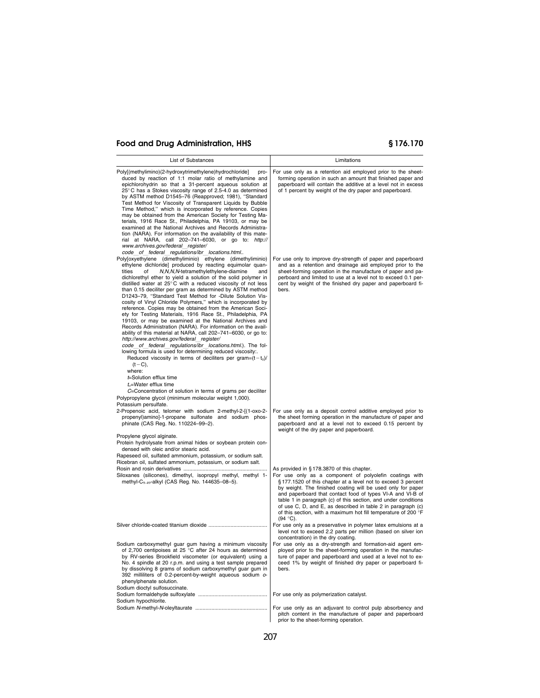| List of Substances                                                                                                                                                                                                                                                                                                                                                                                                                                                                                                                                                                                                                                                                                                                                                                                                                                                                                                                                                                                                                                                                                                                                                                                 | Limitations                                                                                                                                                                                                                                                                                                                                                                                                                                                                                                              |
|----------------------------------------------------------------------------------------------------------------------------------------------------------------------------------------------------------------------------------------------------------------------------------------------------------------------------------------------------------------------------------------------------------------------------------------------------------------------------------------------------------------------------------------------------------------------------------------------------------------------------------------------------------------------------------------------------------------------------------------------------------------------------------------------------------------------------------------------------------------------------------------------------------------------------------------------------------------------------------------------------------------------------------------------------------------------------------------------------------------------------------------------------------------------------------------------------|--------------------------------------------------------------------------------------------------------------------------------------------------------------------------------------------------------------------------------------------------------------------------------------------------------------------------------------------------------------------------------------------------------------------------------------------------------------------------------------------------------------------------|
| Poly[(methylimino)(2-hydroxytrimethylene)hydrochloride]<br>pro-<br>duced by reaction of 1:1 molar ratio of methylamine and<br>epichlorohydrin so that a 31-percent aqueous solution at<br>25°C has a Stokes viscosity range of 2.5-4.0 as determined<br>by ASTM method D1545-76 (Reapproved; 1981), "Standard<br>Test Method for Viscosity of Transparent Liquids by Bubble<br>Time Method," which is incorporated by reference. Copies<br>may be obtained from the American Society for Testing Ma-<br>terials, 1916 Race St., Philadelphia, PA 19103, or may be<br>examined at the National Archives and Records Administra-<br>tion (NARA). For information on the availability of this mate-<br>rial at NARA, call 202-741-6030, or go to: http://<br>www.archives.gov/federal register/                                                                                                                                                                                                                                                                                                                                                                                                       | For use only as a retention aid employed prior to the sheet-<br>forming operation in such an amount that finished paper and<br>paperboard will contain the additive at a level not in excess<br>of 1 percent by weight of the dry paper and paperboard.                                                                                                                                                                                                                                                                  |
| code of federal regulations/ibr locations.html<br>Poly[oxyethylene (dimethyliminio) ethylene (dimethyliminio)<br>ethylene dichloride] produced by reacting equimolar quan-<br>tities<br>N, N, N, N-tetramethylethylene-diamine<br>of<br>and<br>dichlorethyl ether to yield a solution of the solid polymer in<br>distilled water at $25^{\circ}$ C with a reduced viscosity of not less<br>than 0.15 deciliter per gram as determined by ASTM method<br>D1243-79, "Standard Test Method for -Dilute Solution Vis-<br>cosity of Vinyl Chloride Polymers," which is incorporated by<br>reference. Copies may be obtained from the American Soci-<br>ety for Testing Materials, 1916 Race St., Philadelphia, PA<br>19103, or may be examined at the National Archives and<br>Records Administration (NARA). For information on the avail-<br>ability of this material at NARA, call 202-741-6030, or go to:<br>http://www.archives.gov/federal register/<br>code of federal regulations/ibr locations.html.). The fol-<br>lowing formula is used for determining reduced viscosity<br>Reduced viscosity in terms of deciliters per gram= $(t-t0)/$<br>$(t - C)$ ,<br>where:<br>t=Solution efflux time | For use only to improve dry-strength of paper and paperboard<br>and as a retention and drainage aid employed prior to the<br>sheet-forming operation in the manufacture of paper and pa-<br>perboard and limited to use at a level not to exceed 0.1 per-<br>cent by weight of the finished dry paper and paperboard fi-<br>bers.                                                                                                                                                                                        |
| $t_{o}$ =Water efflux time<br>C=Concentration of solution in terms of grams per deciliter<br>Polypropylene glycol (minimum molecular weight 1,000).                                                                                                                                                                                                                                                                                                                                                                                                                                                                                                                                                                                                                                                                                                                                                                                                                                                                                                                                                                                                                                                |                                                                                                                                                                                                                                                                                                                                                                                                                                                                                                                          |
| Potassium persulfate.<br>2-Propenoic acid, telomer with sodium 2-methyl-2-[(1-oxo-2-<br>propenyl)amino]-1-propane sulfonate and sodium phos-<br>phinate (CAS Reg. No. 110224-99-2).                                                                                                                                                                                                                                                                                                                                                                                                                                                                                                                                                                                                                                                                                                                                                                                                                                                                                                                                                                                                                | For use only as a deposit control additive employed prior to<br>the sheet forming operation in the manufacture of paper and<br>paperboard and at a level not to exceed 0.15 percent by<br>weight of the dry paper and paperboard.                                                                                                                                                                                                                                                                                        |
| Propylene glycol alginate.<br>Protein hydrolysate from animal hides or soybean protein con-<br>densed with oleic and/or stearic acid.<br>Rapeseed oil, sulfated ammonium, potassium, or sodium salt.<br>Ricebran oil, sulfated ammonium, potassium, or sodium salt.                                                                                                                                                                                                                                                                                                                                                                                                                                                                                                                                                                                                                                                                                                                                                                                                                                                                                                                                |                                                                                                                                                                                                                                                                                                                                                                                                                                                                                                                          |
| Siloxanes (silicones), dimethyl, isopropyl methyl, methyl 1-<br>methyl-C <sub>9-49</sub> -alkyl (CAS Reg. No. 144635-08-5).                                                                                                                                                                                                                                                                                                                                                                                                                                                                                                                                                                                                                                                                                                                                                                                                                                                                                                                                                                                                                                                                        | As provided in $\S 178.3870$ of this chapter.<br>For use only as a component of polyolefin coatings with<br>§177.1520 of this chapter at a level not to exceed 3 percent<br>by weight. The finished coating will be used only for paper<br>and paperboard that contact food of types VI-A and VI-B of<br>table 1 in paragraph (c) of this section, and under conditions<br>of use C, D, and E, as described in table 2 in paragraph (c)<br>of this section, with a maximum hot fill temperature of 200 °F<br>$(94 °C)$ . |
|                                                                                                                                                                                                                                                                                                                                                                                                                                                                                                                                                                                                                                                                                                                                                                                                                                                                                                                                                                                                                                                                                                                                                                                                    | For use only as a preservative in polymer latex emulsions at a<br>level not to exceed 2.2 parts per million (based on silver ion<br>concentration) in the dry coating.                                                                                                                                                                                                                                                                                                                                                   |
| Sodium carboxymethyl guar gum having a minimum viscosity<br>of 2,700 centipoises at 25 °C after 24 hours as determined<br>by RV-series Brookfield viscometer (or equivalent) using a<br>No. 4 spindle at 20 r.p.m. and using a test sample prepared<br>by dissolving 8 grams of sodium carboxymethyl guar gum in<br>392 milliliters of 0.2-percent-by-weight aqueous sodium o-<br>phenylphenate solution.<br>Sodium dioctyl sulfosuccinate.                                                                                                                                                                                                                                                                                                                                                                                                                                                                                                                                                                                                                                                                                                                                                        | For use only as a dry-strength and formation-aid agent em-<br>ployed prior to the sheet-forming operation in the manufac-<br>ture of paper and paperboard and used at a level not to ex-<br>ceed 1% by weight of finished dry paper or paperboard fi-<br>bers.                                                                                                                                                                                                                                                           |
| Sodium hypochlorite.                                                                                                                                                                                                                                                                                                                                                                                                                                                                                                                                                                                                                                                                                                                                                                                                                                                                                                                                                                                                                                                                                                                                                                               | For use only as polymerization catalyst.                                                                                                                                                                                                                                                                                                                                                                                                                                                                                 |
|                                                                                                                                                                                                                                                                                                                                                                                                                                                                                                                                                                                                                                                                                                                                                                                                                                                                                                                                                                                                                                                                                                                                                                                                    | For use only as an adjuvant to control pulp absorbency and<br>pitch content in the manufacture of paper and paperboard<br>prior to the sheet-forming operation.                                                                                                                                                                                                                                                                                                                                                          |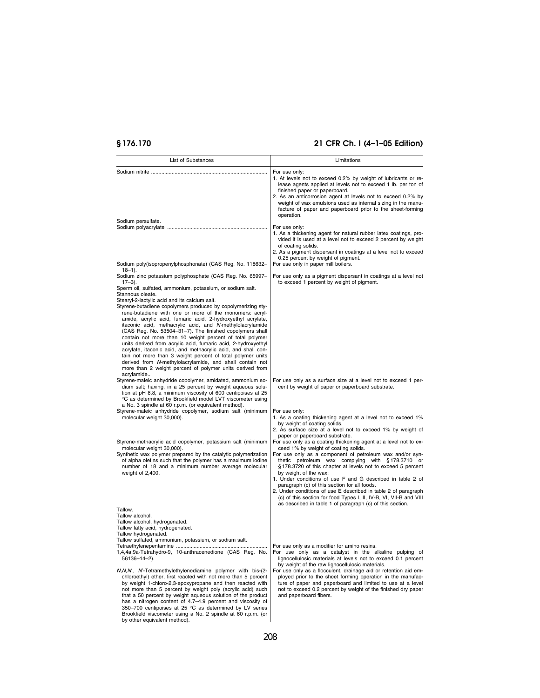| List of Substances                                                                                                                                                                                                                                                                                                                                                                                                                                                                                                                                                                                                                                                                                                | Limitations                                                                                                                                                                                                                                                                                                                                                                                                                                                                                                                                                                                                                                                             |  |  |
|-------------------------------------------------------------------------------------------------------------------------------------------------------------------------------------------------------------------------------------------------------------------------------------------------------------------------------------------------------------------------------------------------------------------------------------------------------------------------------------------------------------------------------------------------------------------------------------------------------------------------------------------------------------------------------------------------------------------|-------------------------------------------------------------------------------------------------------------------------------------------------------------------------------------------------------------------------------------------------------------------------------------------------------------------------------------------------------------------------------------------------------------------------------------------------------------------------------------------------------------------------------------------------------------------------------------------------------------------------------------------------------------------------|--|--|
|                                                                                                                                                                                                                                                                                                                                                                                                                                                                                                                                                                                                                                                                                                                   | For use only:<br>1. At levels not to exceed 0.2% by weight of lubricants or re-<br>lease agents applied at levels not to exceed 1 lb. per ton of<br>finished paper or paperboard.<br>2. As an anticorrosion agent at levels not to exceed 0.2% by<br>weight of wax emulsions used as internal sizing in the manu-<br>facture of paper and paperboard prior to the sheet-forming<br>operation.                                                                                                                                                                                                                                                                           |  |  |
| Sodium persulfate.                                                                                                                                                                                                                                                                                                                                                                                                                                                                                                                                                                                                                                                                                                | For use only:<br>1. As a thickening agent for natural rubber latex coatings, pro-<br>vided it is used at a level not to exceed 2 percent by weight<br>of coating solids.<br>2. As a pigment dispersant in coatings at a level not to exceed<br>0.25 percent by weight of pigment.                                                                                                                                                                                                                                                                                                                                                                                       |  |  |
| Sodium poly(isopropenylphosphonate) (CAS Reg. No. 118632-<br>$18 - 1$ .<br>Sodium zinc potassium polyphosphate (CAS Reg. No. 65997-<br>$17-3$ ).<br>Sperm oil, sulfated, ammonium, potassium, or sodium salt.<br>Stannous oleate.<br>Stearyl-2-lactylic acid and its calcium salt.                                                                                                                                                                                                                                                                                                                                                                                                                                | For use only in paper mill boilers.<br>For use only as a pigment dispersant in coatings at a level not<br>to exceed 1 percent by weight of pigment.                                                                                                                                                                                                                                                                                                                                                                                                                                                                                                                     |  |  |
| Styrene-butadiene copolymers produced by copolymerizing sty-<br>rene-butadiene with one or more of the monomers: acryl-<br>amide, acrylic acid, fumaric acid, 2-hydroxyethyl acrylate,<br>itaconic acid, methacrylic acid, and N-methylolacrylamide<br>(CAS Reg. No. 53504-31-7). The finished copolymers shall<br>contain not more than 10 weight percent of total polymer<br>units derived from acrylic acid, fumaric acid, 2-hydroxyethyl<br>acrylate, itaconic acid, and methacrylic acid, and shall con-<br>tain not more than 3 weight percent of total polymer units<br>derived from N-methylolacrylamide, and shall contain not<br>more than 2 weight percent of polymer units derived from<br>acrylamide |                                                                                                                                                                                                                                                                                                                                                                                                                                                                                                                                                                                                                                                                         |  |  |
| Styrene-maleic anhydride copolymer, amidated, ammonium so-<br>dium salt; having, in a 25 percent by weight aqueous solu-<br>tion at pH 8.8, a minimum viscosity of 600 centipoises at 25<br>°C as determined by Brookfield model LVT viscometer using<br>a No. 3 spindle at 60 r.p.m. (or equivalent method).<br>Styrene-maleic anhydride copolymer, sodium salt (minimum<br>molecular weight 30,000).                                                                                                                                                                                                                                                                                                            | For use only as a surface size at a level not to exceed 1 per-<br>cent by weight of paper or paperboard substrate.<br>For use only:<br>1. As a coating thickening agent at a level not to exceed 1%<br>by weight of coating solids.                                                                                                                                                                                                                                                                                                                                                                                                                                     |  |  |
| Styrene-methacrylic acid copolymer, potassium salt (minimum<br>molecular weight 30,000).<br>Synthetic wax polymer prepared by the catalytic polymerization<br>of alpha olefins such that the polymer has a maximum iodine<br>number of 18 and a minimum number average molecular<br>weight of 2,400.                                                                                                                                                                                                                                                                                                                                                                                                              | 2. As surface size at a level not to exceed 1% by weight of<br>paper or paperboard substrate.<br>For use only as a coating thickening agent at a level not to ex-<br>ceed 1% by weight of coating solids.<br>For use only as a component of petroleum wax and/or syn-<br>thetic petroleum wax complying with §178.3710 or<br>§178.3720 of this chapter at levels not to exceed 5 percent<br>by weight of the wax:<br>1. Under conditions of use F and G described in table 2 of<br>paragraph (c) of this section for all foods.<br>2. Under conditions of use E described in table 2 of paragraph<br>(c) of this section for food Types I, II, IV-B, VI, VII-B and VIII |  |  |
| Tallow.<br>Tallow alcohol.<br>Tallow alcohol, hydrogenated.<br>Tallow fatty acid, hydrogenated.<br>Tallow hydrogenated.<br>Tallow sulfated, ammonium, potassium, or sodium salt.<br>1,4,4a,9a-Tetrahydro-9, 10-anthracenedione (CAS Reg. No.<br>56136-14-2).                                                                                                                                                                                                                                                                                                                                                                                                                                                      | as described in table 1 of paragraph (c) of this section.<br>For use only as a catalyst in the alkaline pulping of<br>lignocellulosic materials at levels not to exceed 0.1 percent                                                                                                                                                                                                                                                                                                                                                                                                                                                                                     |  |  |
| N,N,N', N'-Tetramethylethylenediamine polymer with bis-(2-<br>chloroethyl) ether, first reacted with not more than 5 percent<br>by weight 1-chloro-2,3-epoxypropane and then reacted with<br>not more than 5 percent by weight poly (acrylic acid) such<br>that a 50 percent by weight aqueous solution of the product<br>has a nitrogen content of 4.7-4.9 percent and viscosity of<br>350-700 centipoises at 25 °C as determined by LV series<br>Brookfield viscometer using a No. 2 spindle at 60 r.p.m. (or<br>by other equivalent method).                                                                                                                                                                   | by weight of the raw lignocellulosic materials.<br>For use only as a flocculent, drainage aid or retention aid em-<br>ployed prior to the sheet forming operation in the manufac-<br>ture of paper and paperboard and limited to use at a level<br>not to exceed 0.2 percent by weight of the finished dry paper<br>and paperboard fibers.                                                                                                                                                                                                                                                                                                                              |  |  |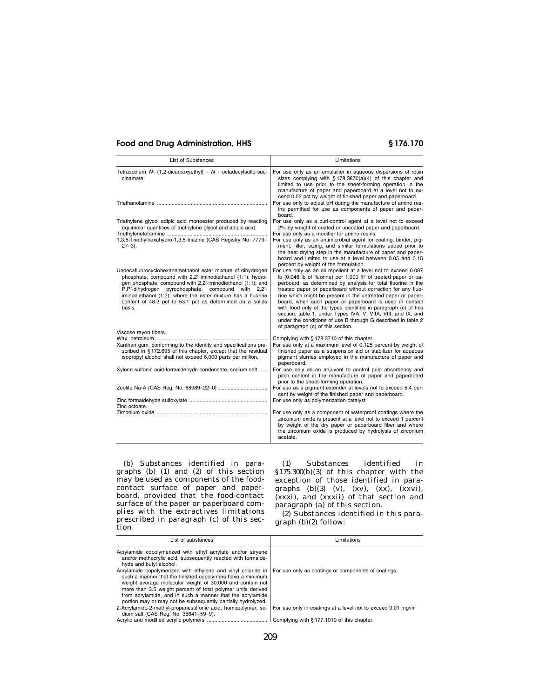| <b>List of Substances</b>                                                                                                                                                                                                                                                                                                                                                             | Limitations                                                                                                                                                                                                                                                                                                                                                                                                                                                                                                                                                                                                                                         |  |
|---------------------------------------------------------------------------------------------------------------------------------------------------------------------------------------------------------------------------------------------------------------------------------------------------------------------------------------------------------------------------------------|-----------------------------------------------------------------------------------------------------------------------------------------------------------------------------------------------------------------------------------------------------------------------------------------------------------------------------------------------------------------------------------------------------------------------------------------------------------------------------------------------------------------------------------------------------------------------------------------------------------------------------------------------------|--|
| Tetrasodium N- (1,2-dicarboxyethyl) - N - octadecylsulfo-suc-<br>cinamate.                                                                                                                                                                                                                                                                                                            | For use only as an emulsifier in aqueous dispersions of rosin<br>sizes complying with §178.3870(a)(4) of this chapter and<br>limited to use prior to the sheet-forming operation in the<br>manufacture of paper and paperboard at a level not to ex-<br>ceed 0.02 pct by weight of finished paper and paperboard.                                                                                                                                                                                                                                                                                                                                   |  |
|                                                                                                                                                                                                                                                                                                                                                                                       | For use only to adjust pH during the manufacture of amino res-<br>ins permitted for use as components of paper and paper-<br>board.                                                                                                                                                                                                                                                                                                                                                                                                                                                                                                                 |  |
| Triethylene glycol adipic acid monoester produced by reacting<br>equimolar quantities of triethylene glycol and adipic acid.                                                                                                                                                                                                                                                          | For use only as a curl-control agent at a level not to exceed<br>2% by weight of coated or uncoated paper and paperboard.<br>For use only as a modifier for amino resins.                                                                                                                                                                                                                                                                                                                                                                                                                                                                           |  |
| 1,3,5-Triethylhexahydro-1,3,5-triazine (CAS Registry No. 7779-<br>$27 - 3$ ).                                                                                                                                                                                                                                                                                                         | For use only as an antimicrobial agent for coating, binder, pig-<br>ment, filler, sizing, and similar formulations added prior to<br>the heat drying step in the manufacture of paper and paper-<br>board and limited to use at a level between 0.05 and 0.15<br>percent by weight of the formulation.                                                                                                                                                                                                                                                                                                                                              |  |
| Undecafluorocyclohexanemethanol ester mixture of dihydrogen<br>phosphate, compound with 2,2' iminodiethanol (1:1); hydro-<br>gen phosphate, compound with 2,2'-iminodiethanol (1:1); and<br>P,P'-dihydrogen pyrophosphate, compound with 2,2'-<br>iminodiethanol (1:2); where the ester mixture has a fluorine<br>content of 48.3 pct to 53.1 pct as determined on a solids<br>basis. | For use only as an oil repellent at a level not to exceed 0.087<br>lb (0.046 lb of fluorine) per 1,000 ft <sup>2</sup> of treated paper or pa-<br>perboard, as determined by analysis for total fluorine in the<br>treated paper or paperboard without correction for any fluo-<br>rine which might be present in the untreated paper or paper-<br>board, when such paper or paperboard is used in contact<br>with food only of the types identified in paragraph (c) of this<br>section, table 1, under Types IVA, V, VIIA, VIII, and IX, and<br>under the conditions of use B through G described in table 2<br>of paragraph (c) of this section. |  |
| Viscose rayon fibers.                                                                                                                                                                                                                                                                                                                                                                 | Complying with §178.3710 of this chapter.                                                                                                                                                                                                                                                                                                                                                                                                                                                                                                                                                                                                           |  |
| Xanthan gum, conforming to the identity and specifications pre-<br>scribed in §172.695 of this chapter, except that the residual<br>isopropyl alcohol shall not exceed 6,000 parts per million.                                                                                                                                                                                       | For use only at a maximum level of 0.125 percent by weight of<br>finished paper as a suspension aid or stabilizer for aqueous<br>pigment slurries employed in the manufacture of paper and<br>paperboard.                                                                                                                                                                                                                                                                                                                                                                                                                                           |  |
| Xylene sulfonic acid-formaldehyde condensate, sodium salt                                                                                                                                                                                                                                                                                                                             | For use only as an adjuvant to control pulp absorbency and<br>pitch content in the manufacture of paper and paperboard<br>prior to the sheet-forming operation.                                                                                                                                                                                                                                                                                                                                                                                                                                                                                     |  |
|                                                                                                                                                                                                                                                                                                                                                                                       | For use as a pigment extender at levels not to exceed 5.4 per-<br>cent by weight of the finished paper and paperboard.                                                                                                                                                                                                                                                                                                                                                                                                                                                                                                                              |  |
| Zinc octoate.                                                                                                                                                                                                                                                                                                                                                                         | For use only as polymerization catalyst.                                                                                                                                                                                                                                                                                                                                                                                                                                                                                                                                                                                                            |  |
|                                                                                                                                                                                                                                                                                                                                                                                       | For use only as a component of waterproof coatings where the<br>zirconium oxide is present at a level not to exceed 1 percent<br>by weight of the dry paper or paperboard fiber and where<br>the zirconium oxide is produced by hydrolysis of zirconium<br>acetate.                                                                                                                                                                                                                                                                                                                                                                                 |  |

(b) Substances identified in paragraphs (b) (1) and (2) of this section may be used as components of the foodcontact surface of paper and paperboard, provided that the food-contact surface of the paper or paperboard complies with the extractives limitations prescribed in paragraph (c) of this section.

(1) Substances identified in §175.300(b)(3) of this chapter with the exception of those identified in paragraphs  $(b)(3)$   $(v)$ ,  $(xv)$ ,  $(xx)$ ,  $(xxvi)$ , (xxxi), and (xxxii) of that section and paragraph (a) of this section.

(2) Substances identified in this paragraph (b)(2) follow:

| List of substances                                                                                                                                                                                                                                                                                                                                                                 | Limitations                                                               |
|------------------------------------------------------------------------------------------------------------------------------------------------------------------------------------------------------------------------------------------------------------------------------------------------------------------------------------------------------------------------------------|---------------------------------------------------------------------------|
| Acrylamide copolymerized with ethyl acrylate and/or stryene<br>and/or methacrylic acid, subsequently reacted with formalde-<br>hyde and butyl alcohol.                                                                                                                                                                                                                             |                                                                           |
| Acrylamide copolymerized with ethylene and vinyl chloride in<br>such a manner that the finished copolymers have a minimum<br>weight average molecular weight of 30,000 and contain not<br>more than 3.5 weight percent of total polymer units derived<br>from acrylamide, and in such a manner that the acrylamide<br>portion may or may not be subsequently partially hydrolyzed. | For use only as coatings or components of coatings.                       |
| 2-Acrylamido-2-methyl-propanesulfonic acid, homopolymer, so-<br>dium salt (CAS Req. No. 35641-59-9).                                                                                                                                                                                                                                                                               | For use only in coatings at a level not to exceed 0.01 mg/in <sup>2</sup> |
|                                                                                                                                                                                                                                                                                                                                                                                    | Complying with §177.1010 of this chapter.                                 |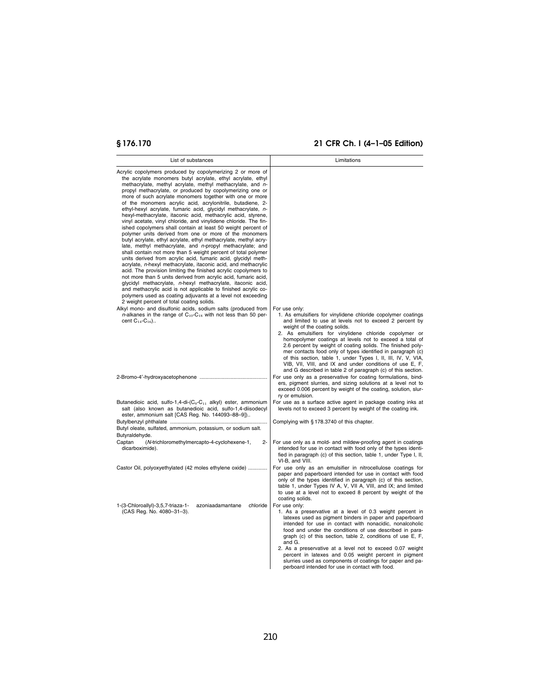| List of substances                                                                                                                                                                                                                                                                                                                                                                                                                                                                                                                                                                                                                                                                                                                                                                                                                                                                                                                                                                                                                                                                                                                                                                                                                                                                                                                                                                                                                    | Limitations                                                                                                                                                                                                                                                                                                                                                                                                                                                                                                                                                                                                               |
|---------------------------------------------------------------------------------------------------------------------------------------------------------------------------------------------------------------------------------------------------------------------------------------------------------------------------------------------------------------------------------------------------------------------------------------------------------------------------------------------------------------------------------------------------------------------------------------------------------------------------------------------------------------------------------------------------------------------------------------------------------------------------------------------------------------------------------------------------------------------------------------------------------------------------------------------------------------------------------------------------------------------------------------------------------------------------------------------------------------------------------------------------------------------------------------------------------------------------------------------------------------------------------------------------------------------------------------------------------------------------------------------------------------------------------------|---------------------------------------------------------------------------------------------------------------------------------------------------------------------------------------------------------------------------------------------------------------------------------------------------------------------------------------------------------------------------------------------------------------------------------------------------------------------------------------------------------------------------------------------------------------------------------------------------------------------------|
| Acrylic copolymers produced by copolymerizing 2 or more of<br>the acrylate monomers butyl acrylate, ethyl acrylate, ethyl<br>methacrylate, methyl acrylate, methyl methacrylate, and n-<br>propyl methacrylate, or produced by copolymerizing one or<br>more of such acrylate monomers together with one or more<br>of the monomers acrylic acid, acrylonitrile, butadiene, 2-<br>ethyl-hexyl acrylate, fumaric acid, glycidyl methacrylate, n-<br>hexyl-methacrylate, itaconic acid, methacrylic acid, styrene,<br>vinyl acetate, vinyl chloride, and vinylidene chloride. The fin-<br>ished copolymers shall contain at least 50 weight percent of<br>polymer units derived from one or more of the monomers<br>butyl acrylate, ethyl acrylate, ethyl methacrylate, methyl acry-<br>late, methyl methacrylate, and n-propyl methacrylate; and<br>shall contain not more than 5 weight percent of total polymer<br>units derived from acrylic acid, fumaric acid, glycidyl meth-<br>acrylate, n-hexyl methacrylate, itaconic acid, and methacrylic<br>acid. The provision limiting the finished acrylic copolymers to<br>not more than 5 units derived from acrylic acid, fumaric acid,<br>glycidyl methacrylate, n-hexyl methacrylate, itaconic acid,<br>and methacrylic acid is not applicable to finished acrylic co-<br>polymers used as coating adjuvants at a level not exceeding<br>2 weight percent of total coating solids. |                                                                                                                                                                                                                                                                                                                                                                                                                                                                                                                                                                                                                           |
| Alkyl mono- and disulfonic acids, sodium salts (produced from<br><i>n</i> -alkanes in the range of $C_{10}$ - $C_{18}$ with not less than 50 per-<br>cent $C_{14}$ - $C_{16}$ )                                                                                                                                                                                                                                                                                                                                                                                                                                                                                                                                                                                                                                                                                                                                                                                                                                                                                                                                                                                                                                                                                                                                                                                                                                                       | For use only:<br>1. As emulsifiers for vinylidene chloride copolymer coatings<br>and limited to use at levels not to exceed 2 percent by<br>weight of the coating solids.<br>2. As emulsifiers for vinylidene chloride copolymer or<br>homopolymer coatings at levels not to exceed a total of<br>2.6 percent by weight of coating solids. The finished poly-<br>mer contacts food only of types identified in paragraph (c)<br>of this section, table 1, under Types I, II, III, IV, V, VIA,<br>VIB, VII, VIII, and IX and under conditions of use E, F,<br>and G described in table 2 of paragraph (c) of this section. |
|                                                                                                                                                                                                                                                                                                                                                                                                                                                                                                                                                                                                                                                                                                                                                                                                                                                                                                                                                                                                                                                                                                                                                                                                                                                                                                                                                                                                                                       | For use only as a preservative for coating formulations, bind-<br>ers, pigment slurries, and sizing solutions at a level not to<br>exceed 0.006 percent by weight of the coating, solution, slur-<br>ry or emulsion.                                                                                                                                                                                                                                                                                                                                                                                                      |
| Butanedioic acid, sulfo-1,4-di-(C <sub>9</sub> -C <sub>11</sub> alkyl) ester, ammonium<br>salt (also known as butanedioic acid, sulfo-1,4-diisodecyl<br>ester, ammonium salt [CAS Reg. No. 144093-88-9])                                                                                                                                                                                                                                                                                                                                                                                                                                                                                                                                                                                                                                                                                                                                                                                                                                                                                                                                                                                                                                                                                                                                                                                                                              | For use as a surface active agent in package coating inks at<br>levels not to exceed 3 percent by weight of the coating ink.                                                                                                                                                                                                                                                                                                                                                                                                                                                                                              |
| Butyl oleate, sulfated, ammonium, potassium, or sodium salt.<br>Butyraldehyde.                                                                                                                                                                                                                                                                                                                                                                                                                                                                                                                                                                                                                                                                                                                                                                                                                                                                                                                                                                                                                                                                                                                                                                                                                                                                                                                                                        | Complying with §178.3740 of this chapter.                                                                                                                                                                                                                                                                                                                                                                                                                                                                                                                                                                                 |
| Captan<br>(N-trichloromethylmercapto-4-cyclohexene-1,<br>$2 -$<br>dicarboximide).                                                                                                                                                                                                                                                                                                                                                                                                                                                                                                                                                                                                                                                                                                                                                                                                                                                                                                                                                                                                                                                                                                                                                                                                                                                                                                                                                     | For use only as a mold- and mildew-proofing agent in coatings<br>intended for use in contact with food only of the types identi-<br>fied in paragraph (c) of this section, table 1, under Type I, II,<br>VI-B, and VIII.                                                                                                                                                                                                                                                                                                                                                                                                  |
| Castor Oil, polyoxyethylated (42 moles ethylene oxide)                                                                                                                                                                                                                                                                                                                                                                                                                                                                                                                                                                                                                                                                                                                                                                                                                                                                                                                                                                                                                                                                                                                                                                                                                                                                                                                                                                                | For use only as an emulsifier in nitrocellulose coatings for<br>paper and paperboard intended for use in contact with food<br>only of the types identified in paragraph (c) of this section,<br>table 1, under Types IV A, V, VII A, VIII, and IX; and limited<br>to use at a level not to exceed 8 percent by weight of the<br>coating solids.                                                                                                                                                                                                                                                                           |
| 1-(3-Chloroallyl)-3,5,7-triaza-1-<br>azoniaadamantane<br>chloride<br>(CAS Reg. No. 4080-31-3).                                                                                                                                                                                                                                                                                                                                                                                                                                                                                                                                                                                                                                                                                                                                                                                                                                                                                                                                                                                                                                                                                                                                                                                                                                                                                                                                        | For use only:<br>1. As a preservative at a level of 0.3 weight percent in<br>latexes used as pigment binders in paper and paperboard<br>intended for use in contact with nonacidic, nonalcoholic<br>food and under the conditions of use described in para-<br>graph (c) of this section, table 2, conditions of use E, F,<br>and G.<br>2. As a preservative at a level not to exceed 0.07 weight<br>percent in latexes and 0.05 weight percent in pigment<br>slurries used as components of coatings for paper and pa-<br>perboard intended for use in contact with food.                                                |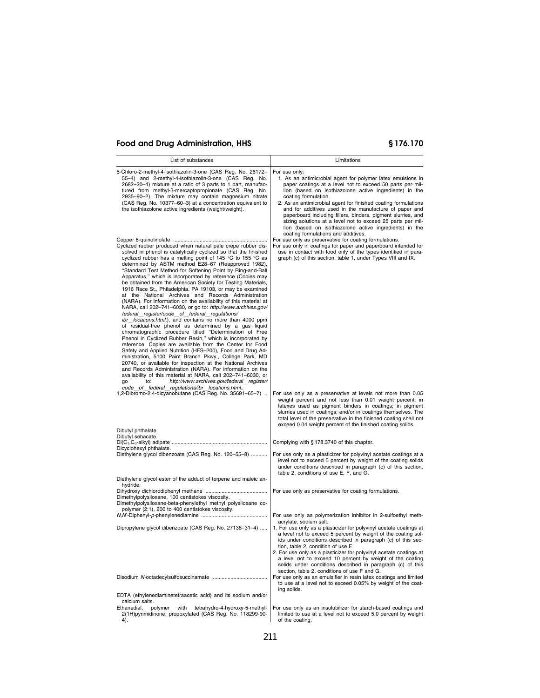| List of substances                                                                                                                                                                                                                                                                                                                                                                                                                                                                                                                                                                                                                                                                                                                                                                                                                                                                                                                                                                                                                                                                                                                                                                                                                                                                                                                                                                                                                                                                                | Limitations                                                                                                                                                                                                                                                                                                                                                                                                                                                                                                          |
|---------------------------------------------------------------------------------------------------------------------------------------------------------------------------------------------------------------------------------------------------------------------------------------------------------------------------------------------------------------------------------------------------------------------------------------------------------------------------------------------------------------------------------------------------------------------------------------------------------------------------------------------------------------------------------------------------------------------------------------------------------------------------------------------------------------------------------------------------------------------------------------------------------------------------------------------------------------------------------------------------------------------------------------------------------------------------------------------------------------------------------------------------------------------------------------------------------------------------------------------------------------------------------------------------------------------------------------------------------------------------------------------------------------------------------------------------------------------------------------------------|----------------------------------------------------------------------------------------------------------------------------------------------------------------------------------------------------------------------------------------------------------------------------------------------------------------------------------------------------------------------------------------------------------------------------------------------------------------------------------------------------------------------|
| 5-Chloro-2-methyl-4-isothiazolin-3-one (CAS Reg. No. 26172-<br>55-4) and 2-methyl-4-isothiazolin-3-one (CAS Reg. No.<br>2682-20-4) mixture at a ratio of 3 parts to 1 part, manufac-<br>tured from methyl-3-mercaptopropionate (CAS Reg. No.<br>2935-90-2). The mixture may contain magnesium nitrate<br>(CAS Reg. No. 10377-60-3) at a concentration equivalent to<br>the isothiazolone active ingredients (weight/weight).                                                                                                                                                                                                                                                                                                                                                                                                                                                                                                                                                                                                                                                                                                                                                                                                                                                                                                                                                                                                                                                                      | For use only:<br>1. As an antimicrobial agent for polymer latex emulsions in<br>paper coatings at a level not to exceed 50 parts per mil-<br>lion (based on isothiazolone active ingredients) in the<br>coating formulation.<br>2. As an antimicrobial agent for finished coating formulations<br>and for additives used in the manufacture of paper and<br>paperboard including fillers, binders, pigment slurries, and<br>sizing solutions at a level not to exceed 25 parts per mil-                              |
| Cyclized rubber produced when natural pale crepe rubber dis-<br>solved in phenol is catalytically cyclized so that the finished<br>cyclized rubber has a melting point of 145 °C to 155 °C as<br>determined by ASTM method E28-67 (Reapproved 1982),<br>"Standard Test Method for Softening Point by Ring-and-Ball<br>Apparatus," which is incorporated by reference (Copies may<br>be obtained from the American Society for Testing Materials,<br>1916 Race St., Philadelphia, PA 19103, or may be examined<br>at the National Archives and Records Administration<br>(NARA). For information on the availability of this material at<br>NARA, call 202-741-6030, or go to: http://www.archives.gov/<br>federal register/code of federal regulations/<br>ibr locations.html.), and contains no more than 4000 ppm<br>of residual-free phenol as determined by a gas liquid<br>chromatographic procedure titled "Determination of Free<br>Phenol in Cyclized Rubber Resin," which is incorporated by<br>reference. Copies are available from the Center for Food<br>Safety and Applied Nutrition (HFS-200), Food and Drug Ad-<br>ministration, 5100 Paint Branch Pkwy., College Park, MD<br>20740, or available for inspection at the National Archives<br>and Records Administration (NARA). For information on the<br>availability of this material at NARA, call 202-741-6030, or<br>go<br>to:<br>http://www.archives.gov/federal register/<br>code of federal regulations/ibr locations.html | lion (based on isothiazolone active ingredients) in the<br>coating formulations and additives.<br>For use only as preservative for coating formulations.<br>For use only in coatings for paper and paperboard intended for<br>use in contact with food only of the types identified in para-<br>graph (c) of this section, table 1, under Types VIII and IX.                                                                                                                                                         |
| 1,2-Dibromo-2,4-dicyanobutane (CAS Reg. No. 35691-65-7)<br>Dibutyl phthalate.                                                                                                                                                                                                                                                                                                                                                                                                                                                                                                                                                                                                                                                                                                                                                                                                                                                                                                                                                                                                                                                                                                                                                                                                                                                                                                                                                                                                                     | For use only as a preservative at levels not more than 0.05<br>weight percent and not less than 0.01 weight percent: in<br>latexes used as pigment binders in coatings; in pigment<br>slurries used in coatings; and/or in coatings themselves. The<br>total level of the preservative in the finished coating shall not<br>exceed 0.04 weight percent of the finished coating solids.                                                                                                                               |
| Dibutyl sebacate.                                                                                                                                                                                                                                                                                                                                                                                                                                                                                                                                                                                                                                                                                                                                                                                                                                                                                                                                                                                                                                                                                                                                                                                                                                                                                                                                                                                                                                                                                 |                                                                                                                                                                                                                                                                                                                                                                                                                                                                                                                      |
| Dicyclohexyl phthalate.                                                                                                                                                                                                                                                                                                                                                                                                                                                                                                                                                                                                                                                                                                                                                                                                                                                                                                                                                                                                                                                                                                                                                                                                                                                                                                                                                                                                                                                                           | Complying with §178.3740 of this chapter.                                                                                                                                                                                                                                                                                                                                                                                                                                                                            |
| Diethylene glycol dibenzoate (CAS Reg. No. 120–55–8)                                                                                                                                                                                                                                                                                                                                                                                                                                                                                                                                                                                                                                                                                                                                                                                                                                                                                                                                                                                                                                                                                                                                                                                                                                                                                                                                                                                                                                              | For use only as a plasticizer for polyvinyl acetate coatings at a<br>level not to exceed 5 percent by weight of the coating solids<br>under conditions described in paragraph (c) of this section,<br>table 2, conditions of use E, F, and G.                                                                                                                                                                                                                                                                        |
| Diethylene glycol ester of the adduct of terpene and maleic an-<br>hydride.                                                                                                                                                                                                                                                                                                                                                                                                                                                                                                                                                                                                                                                                                                                                                                                                                                                                                                                                                                                                                                                                                                                                                                                                                                                                                                                                                                                                                       |                                                                                                                                                                                                                                                                                                                                                                                                                                                                                                                      |
| Dimethylpolysiloxane, 100 centistokes viscosity.<br>Dimethylpolysiloxane-beta-phenylethyl methyl polysiloxane co-<br>polymer (2:1), 200 to 400 centistokes viscosity.                                                                                                                                                                                                                                                                                                                                                                                                                                                                                                                                                                                                                                                                                                                                                                                                                                                                                                                                                                                                                                                                                                                                                                                                                                                                                                                             | For use only as preservative for coating formulations.<br>For use only as polymerization inhibitor in 2-sulfoethyl meth-                                                                                                                                                                                                                                                                                                                                                                                             |
| Dipropylene glycol dibenzoate (CAS Reg. No. 27138-31-4)                                                                                                                                                                                                                                                                                                                                                                                                                                                                                                                                                                                                                                                                                                                                                                                                                                                                                                                                                                                                                                                                                                                                                                                                                                                                                                                                                                                                                                           | acrylate, sodium salt.<br>1. For use only as a plasticizer for polyvinyl acetate coatings at<br>a level not to exceed 5 percent by weight of the coating sol-<br>ids under conditions described in paragraph (c) of this sec-<br>tion, table 2, condition of use E.<br>2. For use only as a plasticizer for polyvinyl acetate coatings at<br>a level not to exceed 10 percent by weight of the coating<br>solids under conditions described in paragraph (c) of this<br>section, table 2, conditions of use F and G. |
|                                                                                                                                                                                                                                                                                                                                                                                                                                                                                                                                                                                                                                                                                                                                                                                                                                                                                                                                                                                                                                                                                                                                                                                                                                                                                                                                                                                                                                                                                                   | For use only as an emulsifier in resin latex coatings and limited<br>to use at a level not to exceed 0.05% by weight of the coat-<br>ing solids.                                                                                                                                                                                                                                                                                                                                                                     |
| EDTA (ethylenediaminetetraacetic acid) and its sodium and/or<br>calcium salts.                                                                                                                                                                                                                                                                                                                                                                                                                                                                                                                                                                                                                                                                                                                                                                                                                                                                                                                                                                                                                                                                                                                                                                                                                                                                                                                                                                                                                    |                                                                                                                                                                                                                                                                                                                                                                                                                                                                                                                      |
| Ethanedial,<br>polymer<br>with<br>tetrahydro-4-hydroxy-5-methyl-<br>2(1H)pyrimidinone, propoxylated (CAS Reg. No. 118299-90-<br>4).                                                                                                                                                                                                                                                                                                                                                                                                                                                                                                                                                                                                                                                                                                                                                                                                                                                                                                                                                                                                                                                                                                                                                                                                                                                                                                                                                               | For use only as an insolubilizer for starch-based coatings and<br>limited to use at a level not to exceed 5.0 percent by weight<br>of the coating.                                                                                                                                                                                                                                                                                                                                                                   |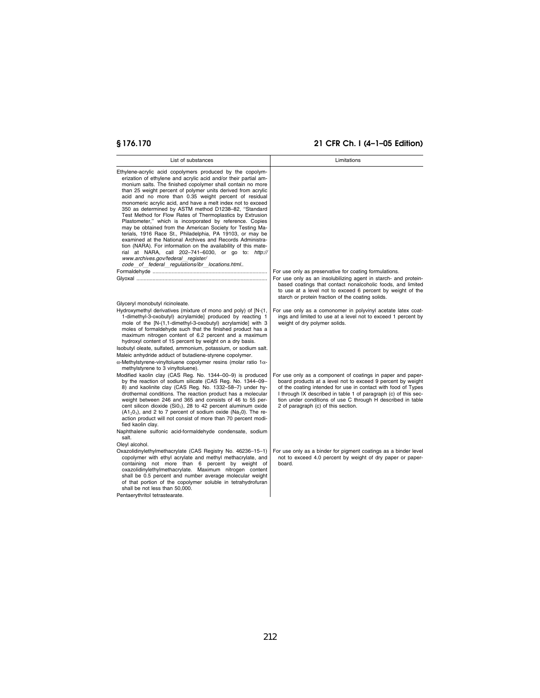| List of substances                                                                                                                                                                                                                                                                                                                                                                                                                                                                                                                                                                                                                                                                                                                                                                                                                                                                                                                                                         | Limitations                                                                                                                                                                                                                                                                                                                                                          |
|----------------------------------------------------------------------------------------------------------------------------------------------------------------------------------------------------------------------------------------------------------------------------------------------------------------------------------------------------------------------------------------------------------------------------------------------------------------------------------------------------------------------------------------------------------------------------------------------------------------------------------------------------------------------------------------------------------------------------------------------------------------------------------------------------------------------------------------------------------------------------------------------------------------------------------------------------------------------------|----------------------------------------------------------------------------------------------------------------------------------------------------------------------------------------------------------------------------------------------------------------------------------------------------------------------------------------------------------------------|
| Ethylene-acrylic acid copolymers produced by the copolym-<br>erization of ethylene and acrylic acid and/or their partial am-<br>monium salts. The finished copolymer shall contain no more<br>than 25 weight percent of polymer units derived from acrylic<br>acid and no more than 0.35 weight percent of residual<br>monomeric acrylic acid, and have a melt index not to exceed<br>350 as determined by ASTM method D1238-82, "Standard<br>Test Method for Flow Rates of Thermoplastics by Extrusion<br>Plastometer," which is incorporated by reference. Copies<br>may be obtained from the American Society for Testing Ma-<br>terials, 1916 Race St., Philadelphia, PA 19103, or may be<br>examined at the National Archives and Records Administra-<br>tion (NARA). For information on the availability of this mate-<br>rial at NARA, call 202-741-6030, or go to: http://<br>www.archives.gov/federal register/<br>code of federal requiations/ibr locations.html | For use only as preservative for coating formulations.<br>For use only as an insolubilizing agent in starch- and protein-<br>based coatings that contact nonalcoholic foods, and limited<br>to use at a level not to exceed 6 percent by weight of the                                                                                                               |
| Glyceryl monobutyl ricinoleate.<br>Hydroxymethyl derivatives (mixture of mono and poly) of [N-(1,<br>1-dimethyl-3-oxobutyl) acrylamide] produced by reacting 1<br>mole of the [N-(1,1-dimethyl-3-oxobutyl) acrylamide] with 3<br>moles of formaldehyde such that the finished product has a<br>maximum nitrogen content of 6.2 percent and a maximum<br>hydroxyl content of 15 percent by weight on a dry basis.<br>Isobutyl oleate, sulfated, ammonium, potassium, or sodium salt.<br>Maleic anhydride adduct of butadiene-styrene copolymer.<br>$\alpha$ -Methylstyrene-vinyltoluene copolymer resins (molar ratio 1 $\alpha$ -<br>methylstyrene to 3 vinyltoluene).                                                                                                                                                                                                                                                                                                     | starch or protein fraction of the coating solids.<br>For use only as a comonomer in polyvinyl acetate latex coat-<br>ings and limited to use at a level not to exceed 1 percent by<br>weight of dry polymer solids.                                                                                                                                                  |
| Modified kaolin clay (CAS Reg. No. 1344-00-9) is produced<br>by the reaction of sodium silicate (CAS Reg. No. 1344-09-<br>8) and kaolinite clay (CAS Reg. No. 1332-58-7) under hy-<br>drothermal conditions. The reaction product has a molecular<br>weight between 246 and 365 and consists of 46 to 55 per-<br>cent silicon dioxide (Si02), 28 to 42 percent aluminum oxide<br>$(A12O3)$ , and 2 to 7 percent of sodium oxide (Na <sub>2</sub> 0). The re-<br>action product will not consist of more than 70 percent modi-<br>fied kaolin clay.<br>Naphthalene sulfonic acid-formaldehyde condensate, sodium                                                                                                                                                                                                                                                                                                                                                            | For use only as a component of coatings in paper and paper-<br>board products at a level not to exceed 9 percent by weight<br>of the coating intended for use in contact with food of Types<br>I through IX described in table 1 of paragraph (c) of this sec-<br>tion under conditions of use C through H described in table<br>2 of paragraph (c) of this section. |
| salt.<br>Oleyl alcohol.<br>Oxazolidinylethylmethacrylate (CAS Registry No. 46236-15-1)<br>copolymer with ethyl acrylate and methyl methacrylate, and<br>containing not more than 6 percent by weight of<br>oxazolidinylethylmethacrylate. Maximum nitrogen content<br>shall be 0.5 percent and number average molecular weight<br>of that portion of the copolymer soluble in tetrahydrofuran<br>shall be not less than 50,000.<br>Pentaerythritol tetrastearate.                                                                                                                                                                                                                                                                                                                                                                                                                                                                                                          | For use only as a binder for pigment coatings as a binder level<br>not to exceed 4.0 percent by weight of dry paper or paper-<br>board.                                                                                                                                                                                                                              |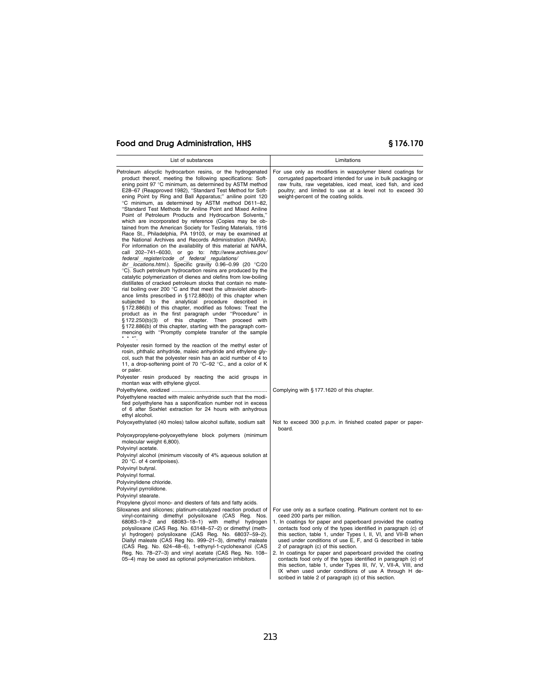| List of substances                                                                                                                                                                                                                                                                                                                                                                                                                                                                                                                                                                                                                                                                                                                                                                                                                                                                                                                                                                                                                                                                                                                                                                                                                                                                                                                                                                                                                                                                                                                                                                                                                                                                                                 | Limitations                                                                                                                                                                                                                                                                                                                                                                                                                                                                                                                                                                                                                                                                                                                |  |  |  |
|--------------------------------------------------------------------------------------------------------------------------------------------------------------------------------------------------------------------------------------------------------------------------------------------------------------------------------------------------------------------------------------------------------------------------------------------------------------------------------------------------------------------------------------------------------------------------------------------------------------------------------------------------------------------------------------------------------------------------------------------------------------------------------------------------------------------------------------------------------------------------------------------------------------------------------------------------------------------------------------------------------------------------------------------------------------------------------------------------------------------------------------------------------------------------------------------------------------------------------------------------------------------------------------------------------------------------------------------------------------------------------------------------------------------------------------------------------------------------------------------------------------------------------------------------------------------------------------------------------------------------------------------------------------------------------------------------------------------|----------------------------------------------------------------------------------------------------------------------------------------------------------------------------------------------------------------------------------------------------------------------------------------------------------------------------------------------------------------------------------------------------------------------------------------------------------------------------------------------------------------------------------------------------------------------------------------------------------------------------------------------------------------------------------------------------------------------------|--|--|--|
| Petroleum alicyclic hydrocarbon resins, or the hydrogenated<br>product thereof, meeting the following specifications: Soft-<br>ening point 97 °C minimum, as determined by ASTM method<br>E28-67 (Reapproved 1982), "Standard Test Method for Soft-<br>ening Point by Ring and Ball Apparatus;" aniline point 120<br>°C minimum, as determined by ASTM method D611-82,<br>"Standard Test Methods for Aniline Point and Mixed Aniline<br>Point of Petroleum Products and Hydrocarbon Solvents,"<br>which are incorporated by reference (Copies may be ob-<br>tained from the American Society for Testing Materials, 1916<br>Race St., Philadelphia, PA 19103, or may be examined at<br>the National Archives and Records Administration (NARA).<br>For information on the availability of this material at NARA,<br>call 202-741-6030, or go to: http://www.archives.gov/<br>federal register/code of federal regulations/<br>ibr locations.html.). Specific gravity 0.96-0.99 (20 °C/20<br>°C). Such petroleum hydrocarbon resins are produced by the<br>catalytic polymerization of dienes and olefins from low-boiling<br>distillates of cracked petroleum stocks that contain no mate-<br>rial boiling over 200 °C and that meet the ultraviolet absorb-<br>ance limits prescribed in §172.880(b) of this chapter when<br>subjected to the analytical procedure described in<br>§172.886(b) of this chapter, modified as follows: Treat the<br>product as in the first paragraph under "Procedure" in §172.250(b)(3) of this chapter. Then proceed with<br>§ 172.886(b) of this chapter, starting with the paragraph com-<br>mencing with "Promptly complete transfer of the sample<br>$\star$ $\star$ $\star$ | For use only as modifiers in waxpolymer blend coatings for<br>corrugated paperboard intended for use in bulk packaging or<br>raw fruits, raw vegetables, iced meat, iced fish, and iced<br>poultry; and limited to use at a level not to exceed 30<br>weight-percent of the coating solids.                                                                                                                                                                                                                                                                                                                                                                                                                                |  |  |  |
| Polyester resin formed by the reaction of the methyl ester of<br>rosin, phthalic anhydride, maleic anhydride and ethylene gly-<br>col, such that the polyester resin has an acid number of 4 to<br>11, a drop-softening point of 70 °C-92 °C., and a color of K<br>or paler.<br>Polyester resin produced by reacting the acid groups in<br>montan wax with ethylene glycol.                                                                                                                                                                                                                                                                                                                                                                                                                                                                                                                                                                                                                                                                                                                                                                                                                                                                                                                                                                                                                                                                                                                                                                                                                                                                                                                                        |                                                                                                                                                                                                                                                                                                                                                                                                                                                                                                                                                                                                                                                                                                                            |  |  |  |
| Polyethylene reacted with maleic anhydride such that the modi-<br>fied polyethylene has a saponification number not in excess<br>of 6 after Soxhlet extraction for 24 hours with anhydrous<br>ethyl alcohol.                                                                                                                                                                                                                                                                                                                                                                                                                                                                                                                                                                                                                                                                                                                                                                                                                                                                                                                                                                                                                                                                                                                                                                                                                                                                                                                                                                                                                                                                                                       | Complying with § 177.1620 of this chapter.                                                                                                                                                                                                                                                                                                                                                                                                                                                                                                                                                                                                                                                                                 |  |  |  |
| Polyoxyethylated (40 moles) tallow alcohol sulfate, sodium salt                                                                                                                                                                                                                                                                                                                                                                                                                                                                                                                                                                                                                                                                                                                                                                                                                                                                                                                                                                                                                                                                                                                                                                                                                                                                                                                                                                                                                                                                                                                                                                                                                                                    | Not to exceed 300 p.p.m. in finished coated paper or paper-<br>board.                                                                                                                                                                                                                                                                                                                                                                                                                                                                                                                                                                                                                                                      |  |  |  |
| Polyoxypropylene-polyoxyethylene block polymers (minimum<br>molecular weight 6,800).                                                                                                                                                                                                                                                                                                                                                                                                                                                                                                                                                                                                                                                                                                                                                                                                                                                                                                                                                                                                                                                                                                                                                                                                                                                                                                                                                                                                                                                                                                                                                                                                                               |                                                                                                                                                                                                                                                                                                                                                                                                                                                                                                                                                                                                                                                                                                                            |  |  |  |
| Polyvinyl acetate.<br>Polyvinyl alcohol (minimum viscosity of 4% aqueous solution at<br>20 °C. of 4 centipoises).<br>Polyvinyl butyral.                                                                                                                                                                                                                                                                                                                                                                                                                                                                                                                                                                                                                                                                                                                                                                                                                                                                                                                                                                                                                                                                                                                                                                                                                                                                                                                                                                                                                                                                                                                                                                            |                                                                                                                                                                                                                                                                                                                                                                                                                                                                                                                                                                                                                                                                                                                            |  |  |  |
| Polyvinyl formal.                                                                                                                                                                                                                                                                                                                                                                                                                                                                                                                                                                                                                                                                                                                                                                                                                                                                                                                                                                                                                                                                                                                                                                                                                                                                                                                                                                                                                                                                                                                                                                                                                                                                                                  |                                                                                                                                                                                                                                                                                                                                                                                                                                                                                                                                                                                                                                                                                                                            |  |  |  |
| Polyvinylidene chloride.<br>Polyvinyl pyrrolidone.                                                                                                                                                                                                                                                                                                                                                                                                                                                                                                                                                                                                                                                                                                                                                                                                                                                                                                                                                                                                                                                                                                                                                                                                                                                                                                                                                                                                                                                                                                                                                                                                                                                                 |                                                                                                                                                                                                                                                                                                                                                                                                                                                                                                                                                                                                                                                                                                                            |  |  |  |
| Polyvinyl stearate.                                                                                                                                                                                                                                                                                                                                                                                                                                                                                                                                                                                                                                                                                                                                                                                                                                                                                                                                                                                                                                                                                                                                                                                                                                                                                                                                                                                                                                                                                                                                                                                                                                                                                                |                                                                                                                                                                                                                                                                                                                                                                                                                                                                                                                                                                                                                                                                                                                            |  |  |  |
| Propylene glycol mono- and diesters of fats and fatty acids.<br>Siloxanes and silicones; platinum-catalyzed reaction product of<br>vinyl-containing dimethyl polysiloxane (CAS Reg. Nos.<br>68083-19-2 and 68083-18-1) with methyl hydrogen<br>polysiloxane (CAS Reg. No. 63148-57-2) or dimethyl (meth-<br>yl hydrogen) polysiloxane (CAS Reg. No. 68037-59-2).<br>Diallyl maleate (CAS Reg No. 999-21-3), dimethyl maleate<br>(CAS Reg. No. 624-48-6), 1-ethynyl-1-cyclohexanol (CAS<br>Reg. No. 78-27-3) and vinyl acetate (CAS Reg. No. 108-<br>05-4) may be used as optional polymerization inhibitors.                                                                                                                                                                                                                                                                                                                                                                                                                                                                                                                                                                                                                                                                                                                                                                                                                                                                                                                                                                                                                                                                                                       | For use only as a surface coating. Platinum content not to ex-<br>ceed 200 parts per million.<br>1. In coatings for paper and paperboard provided the coating<br>contacts food only of the types identified in paragraph (c) of<br>this section, table 1, under Types I, II, VI, and VII-B when<br>used under conditions of use E, F, and G described in table<br>2 of paragraph (c) of this section.<br>2. In coatings for paper and paperboard provided the coating<br>contacts food only of the types identified in paragraph (c) of<br>this section, table 1, under Types III, IV, V, VII-A, VIII, and<br>IX when used under conditions of use A through H de-<br>scribed in table 2 of paragraph (c) of this section. |  |  |  |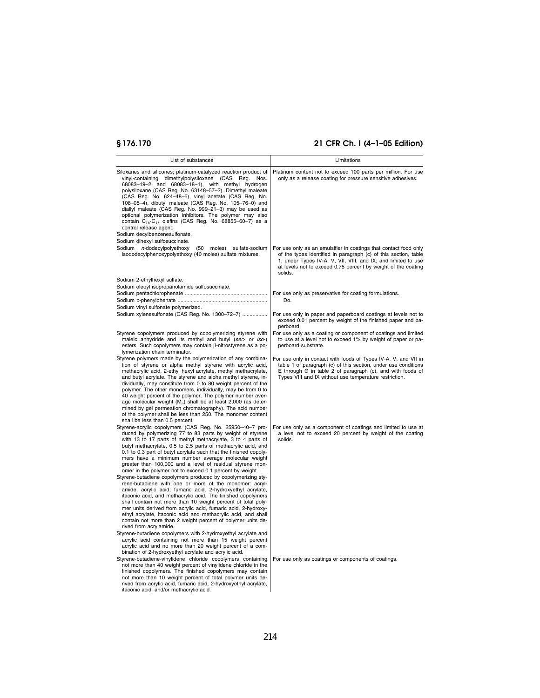| List of substances                                                                                                                                                                                                                                                                                                                                                                                                                                                                                                                                                                                                                                                                                                                                                                                                                                                                                                                                                                                                                                            | Limitations                                                                                                                                                                                                                                                                      |
|---------------------------------------------------------------------------------------------------------------------------------------------------------------------------------------------------------------------------------------------------------------------------------------------------------------------------------------------------------------------------------------------------------------------------------------------------------------------------------------------------------------------------------------------------------------------------------------------------------------------------------------------------------------------------------------------------------------------------------------------------------------------------------------------------------------------------------------------------------------------------------------------------------------------------------------------------------------------------------------------------------------------------------------------------------------|----------------------------------------------------------------------------------------------------------------------------------------------------------------------------------------------------------------------------------------------------------------------------------|
| Siloxanes and silicones; platinum-catalyzed reaction product of<br>vinyl-containing dimethylpolysiloxane (CAS Reg.<br>Nos.<br>68083-19-2 and 68083-18-1), with methyl hydrogen<br>polysiloxane (CAS Reg. No. 63148-57-2). Dimethyl maleate<br>(CAS Reg. No. 624-48-6), vinyl acetate (CAS Reg. No.<br>108-05-4), dibutyl maleate (CAS Reg. No. 105-76-0) and<br>diallyl maleate (CAS Reg. No. 999-21-3) may be used as<br>optional polymerization inhibitors. The polymer may also<br>contain $C_{16}$ - $C_{18}$ olefins (CAS Reg. No. 68855-60-7) as a<br>control release agent.<br>Sodium decylbenzenesulfonate.<br>Sodium dihexyl sulfosuccinate.                                                                                                                                                                                                                                                                                                                                                                                                         | Platinum content not to exceed 100 parts per million. For use<br>only as a release coating for pressure sensitive adhesives.                                                                                                                                                     |
| <i>n</i> -dodecylpolyethoxy (50 moles)<br>Sodium<br>sulfate-sodium<br>isododecylphenoxypolyethoxy (40 moles) sulfate mixtures.                                                                                                                                                                                                                                                                                                                                                                                                                                                                                                                                                                                                                                                                                                                                                                                                                                                                                                                                | For use only as an emulsifier in coatings that contact food only<br>of the types identified in paragraph (c) of this section, table<br>1, under Types IV-A, V, VII, VIII, and IX; and limited to use<br>at levels not to exceed 0.75 percent by weight of the coating<br>solids. |
| Sodium 2-ethylhexyl sulfate.                                                                                                                                                                                                                                                                                                                                                                                                                                                                                                                                                                                                                                                                                                                                                                                                                                                                                                                                                                                                                                  |                                                                                                                                                                                                                                                                                  |
| Sodium oleoyl isopropanolamide sulfosuccinate.                                                                                                                                                                                                                                                                                                                                                                                                                                                                                                                                                                                                                                                                                                                                                                                                                                                                                                                                                                                                                | For use only as preservative for coating formulations.                                                                                                                                                                                                                           |
| Sodium vinyl sulfonate polymerized.                                                                                                                                                                                                                                                                                                                                                                                                                                                                                                                                                                                                                                                                                                                                                                                                                                                                                                                                                                                                                           | Do.                                                                                                                                                                                                                                                                              |
| Sodium xylenesulfonate (CAS Reg. No. 1300-72-7)                                                                                                                                                                                                                                                                                                                                                                                                                                                                                                                                                                                                                                                                                                                                                                                                                                                                                                                                                                                                               | For use only in paper and paperboard coatings at levels not to<br>exceed 0.01 percent by weight of the finished paper and pa-<br>perboard.                                                                                                                                       |
| Styrene copolymers produced by copolymerizing styrene with<br>maleic anhydride and its methyl and butyl (sec- or iso-)<br>esters. Such copolymers may contain ß-nitrostyrene as a po-<br>lymerization chain terminator.                                                                                                                                                                                                                                                                                                                                                                                                                                                                                                                                                                                                                                                                                                                                                                                                                                       | For use only as a coating or component of coatings and limited<br>to use at a level not to exceed 1% by weight of paper or pa-<br>perboard substrate.                                                                                                                            |
| Styrene polymers made by the polymerization of any combina-<br>tion of styrene or alpha methyl styrene with acrylic acid,<br>methacrylic acid, 2-ethyl hexyl acrylate, methyl methacrylate,<br>and butyl acrylate. The styrene and alpha methyl styrene, in-<br>dividually, may constitute from 0 to 80 weight percent of the<br>polymer. The other monomers, individually, may be from 0 to<br>40 weight percent of the polymer. The polymer number aver-<br>age molecular weight $(M_n)$ shall be at least 2,000 (as deter-<br>mined by gel permeation chromatography). The acid number<br>of the polymer shall be less than 250. The monomer content<br>shall be less than 0.5 percent.                                                                                                                                                                                                                                                                                                                                                                    | For use only in contact with foods of Types IV-A, V, and VII in<br>table 1 of paragraph (c) of this section, under use conditions<br>E through G in table 2 of paragraph (c), and with foods of<br>Types VIII and IX without use temperature restriction.                        |
| Styrene-acrylic copolymers (CAS Reg. No. 25950-40-7 pro-<br>duced by polymerizing 77 to 83 parts by weight of styrene<br>with 13 to 17 parts of methyl methacrylate, 3 to 4 parts of<br>butyl methacrylate, 0.5 to 2.5 parts of methacrylic acid, and<br>0.1 to 0.3 part of butyl acrylate such that the finished copoly-<br>mers have a minimum number average molecular weight<br>greater than 100,000 and a level of residual styrene mon-<br>omer in the polymer not to exceed 0.1 percent by weight.<br>Styrene-butadiene copolymers produced by copolymerizing sty-<br>rene-butadiene with one or more of the monomer: acryl-<br>amide, acrylic acid, fumaric acid, 2-hydroxyethyl acrylate,<br>itaconic acid, and methacrylic acid. The finished copolymers<br>shall contain not more than 10 weight percent of total poly-<br>mer units derived from acrylic acid, fumaric acid, 2-hydroxy-<br>ethyl acrylate, itaconic acid and methacrylic acid, and shall<br>contain not more than 2 weight percent of polymer units de-<br>rived from acrylamide. | For use only as a component of coatings and limited to use at<br>a level not to exceed 20 percent by weight of the coating<br>solids.                                                                                                                                            |
| Styrene-butadiene copolymers with 2-hydroxyethyl acrylate and<br>acrylic acid containing not more than 15 weight percent<br>acrylic acid and no more than 20 weight percent of a com-<br>bination of 2-hydroxyethyl acrylate and acrylic acid.<br>Styrene-butadiene-vinylidene chloride copolymers containing<br>not more than 40 weight percent of vinylidene chloride in the<br>finished copolymers. The finished copolymers may contain<br>not more than 10 weight percent of total polymer units de-<br>rived from acrylic acid, fumaric acid, 2-hydroxyethyl acrylate,<br>itaconic acid, and/or methacrylic acid.                                                                                                                                                                                                                                                                                                                                                                                                                                        | For use only as coatings or components of coatings.                                                                                                                                                                                                                              |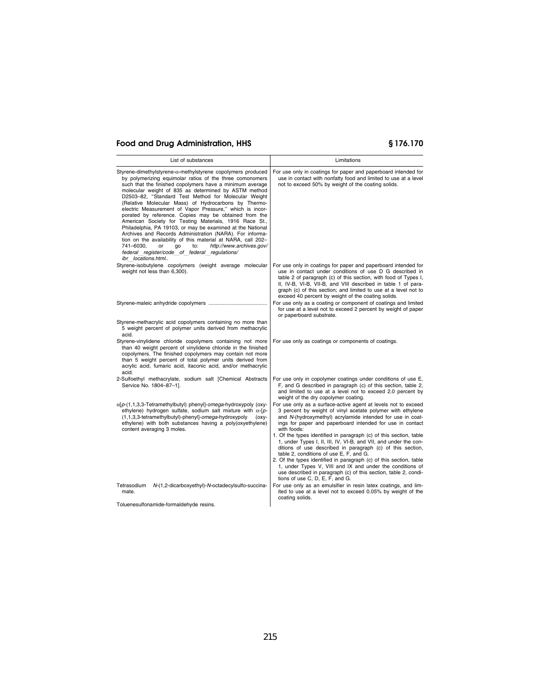| List of substances                                                                                                                                                                                                                                                                                                                                                                                                                                                                                                                                                                                                                                                                                                                                                                                                                                                               | Limitations                                                                                                                                                                                                                                                                                                                                                                                                                                                                                                                                                                                                                                                                                                                                                        |
|----------------------------------------------------------------------------------------------------------------------------------------------------------------------------------------------------------------------------------------------------------------------------------------------------------------------------------------------------------------------------------------------------------------------------------------------------------------------------------------------------------------------------------------------------------------------------------------------------------------------------------------------------------------------------------------------------------------------------------------------------------------------------------------------------------------------------------------------------------------------------------|--------------------------------------------------------------------------------------------------------------------------------------------------------------------------------------------------------------------------------------------------------------------------------------------------------------------------------------------------------------------------------------------------------------------------------------------------------------------------------------------------------------------------------------------------------------------------------------------------------------------------------------------------------------------------------------------------------------------------------------------------------------------|
| Styrene-dimethylstyrene- $\alpha$ -methylstyrene copolymers produced<br>by polymerizing equimolar ratios of the three comonomers<br>such that the finished copolymers have a minimum average<br>molecular weight of 835 as determined by ASTM method<br>D2503-82, "Standard Test Method for Molecular Weight<br>(Relative Molecular Mass) of Hydrocarbons by Thermo-<br>electric Measurement of Vapor Pressure," which is incor-<br>porated by reference. Copies may be obtained from the<br>American Society for Testing Materials, 1916 Race St.,<br>Philadelphia, PA 19103, or may be examined at the National<br>Archives and Records Administration (NARA). For informa-<br>tion on the availability of this material at NARA, call 202-<br>http://www.archives.gov/<br>741-6030,<br>or<br>qo<br>to:<br>federal register/code of federal regulations/<br>ibr locations.html | For use only in coatings for paper and paperboard intended for<br>use in contact with nonfatty food and limited to use at a level<br>not to exceed 50% by weight of the coating solids.                                                                                                                                                                                                                                                                                                                                                                                                                                                                                                                                                                            |
| Styrene-isobutylene copolymers (weight average molecular<br>weight not less than 6,300).                                                                                                                                                                                                                                                                                                                                                                                                                                                                                                                                                                                                                                                                                                                                                                                         | For use only in coatings for paper and paperboard intended for<br>use in contact under conditions of use D G described in<br>table 2 of paragraph (c) of this section, with food of Types I,<br>II, IV-B, VI-B, VII-B, and VIII described in table 1 of para-<br>graph (c) of this section; and limited to use at a level not to<br>exceed 40 percent by weight of the coating solids.                                                                                                                                                                                                                                                                                                                                                                             |
|                                                                                                                                                                                                                                                                                                                                                                                                                                                                                                                                                                                                                                                                                                                                                                                                                                                                                  | For use only as a coating or component of coatings and limited<br>for use at a level not to exceed 2 percent by weight of paper<br>or paperboard substrate.                                                                                                                                                                                                                                                                                                                                                                                                                                                                                                                                                                                                        |
| Styrene-methacrylic acid copolymers containing no more than<br>5 weight percent of polymer units derived from methacrylic<br>acid.                                                                                                                                                                                                                                                                                                                                                                                                                                                                                                                                                                                                                                                                                                                                               |                                                                                                                                                                                                                                                                                                                                                                                                                                                                                                                                                                                                                                                                                                                                                                    |
| Styrene-vinylidene chloride copolymers containing not more<br>than 40 weight percent of vinylidene chloride in the finished<br>copolymers. The finished copolymers may contain not more<br>than 5 weight percent of total polymer units derived from<br>acrylic acid, fumaric acid, itaconic acid, and/or methacrylic<br>acid.                                                                                                                                                                                                                                                                                                                                                                                                                                                                                                                                                   | For use only as coatings or components of coatings.                                                                                                                                                                                                                                                                                                                                                                                                                                                                                                                                                                                                                                                                                                                |
| 2-Sulfoethyl methacrylate, sodium salt [Chemical Abstracts<br>Service No. 1804-87-1].                                                                                                                                                                                                                                                                                                                                                                                                                                                                                                                                                                                                                                                                                                                                                                                            | For use only in copolymer coatings under conditions of use E,<br>F, and G described in paragraph (c) of this section, table 2,<br>and limited to use at a level not to exceed 2.0 percent by<br>weight of the dry copolymer coating.                                                                                                                                                                                                                                                                                                                                                                                                                                                                                                                               |
| $\alpha$ [p-(1,1,3,3-Tetramethylbutyl) phenyl]-omega-hydroxypoly (oxy-<br>ethylene) hydrogen sulfate, sodium salt mixture with $\alpha$ -[p-<br>(1,1,3,3-tetramethylbutyl)-phenyl]-omega-hydroxypoly<br>(oxy-<br>ethylene) with both substances having a poly(oxyethylene)<br>content averaging 3 moles.                                                                                                                                                                                                                                                                                                                                                                                                                                                                                                                                                                         | For use only as a surface-active agent at levels not to exceed<br>3 percent by weight of vinyl acetate polymer with ethylene<br>and N-(hydroxymethyl) acrylamide intended for use in coat-<br>ings for paper and paperboard intended for use in contact<br>with foods:<br>1. Of the types identified in paragraph (c) of this section, table<br>1, under Types I, II, III, IV, VI-B, and VII, and under the con-<br>ditions of use described in paragraph (c) of this section,<br>table 2, conditions of use E, F, and G.<br>2. Of the types identified in paragraph (c) of this section, table<br>1, under Types V, VIII and IX and under the conditions of<br>use described in paragraph (c) of this section, table 2, condi-<br>tions of use C, D, E, F, and G. |
| Tetrasodium<br>N-(1,2-dicarboxyethyl)-N-octadecylsulfo-succina-<br>mate.                                                                                                                                                                                                                                                                                                                                                                                                                                                                                                                                                                                                                                                                                                                                                                                                         | For use only as an emulsifier in resin latex coatings, and lim-<br>ited to use at a level not to exceed 0.05% by weight of the<br>coating solids.                                                                                                                                                                                                                                                                                                                                                                                                                                                                                                                                                                                                                  |
| Toluenesulfonamide-formaldehyde resins.                                                                                                                                                                                                                                                                                                                                                                                                                                                                                                                                                                                                                                                                                                                                                                                                                                          |                                                                                                                                                                                                                                                                                                                                                                                                                                                                                                                                                                                                                                                                                                                                                                    |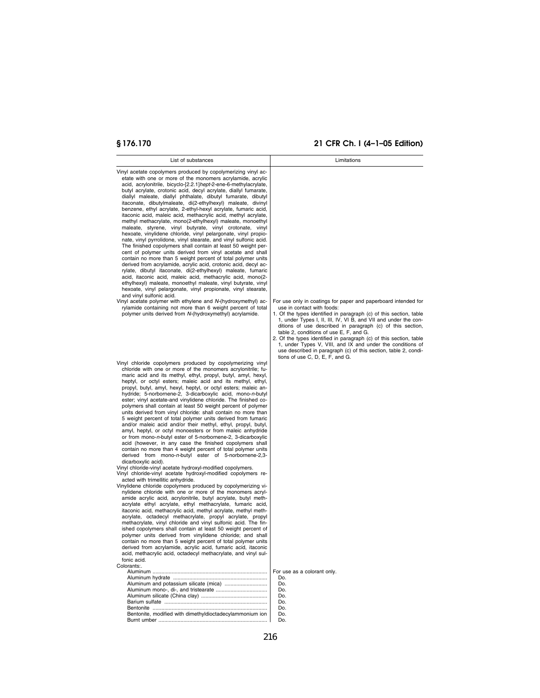| List of substances                                                                                                                                                                                                                                                                                                                                                                                                                                                                                                                                                                                                                                                                                                                                                                                                                                                                                                                                                                                                                                                                                                                                                                                                                                                                                                                                                                                                                                                                                                                                                                                                                                                                                                                                                                                                                                                                                                                                                                                                                          | Limitations                                                                                                                                                                                                                                                                                                                                                                                                          |
|---------------------------------------------------------------------------------------------------------------------------------------------------------------------------------------------------------------------------------------------------------------------------------------------------------------------------------------------------------------------------------------------------------------------------------------------------------------------------------------------------------------------------------------------------------------------------------------------------------------------------------------------------------------------------------------------------------------------------------------------------------------------------------------------------------------------------------------------------------------------------------------------------------------------------------------------------------------------------------------------------------------------------------------------------------------------------------------------------------------------------------------------------------------------------------------------------------------------------------------------------------------------------------------------------------------------------------------------------------------------------------------------------------------------------------------------------------------------------------------------------------------------------------------------------------------------------------------------------------------------------------------------------------------------------------------------------------------------------------------------------------------------------------------------------------------------------------------------------------------------------------------------------------------------------------------------------------------------------------------------------------------------------------------------|----------------------------------------------------------------------------------------------------------------------------------------------------------------------------------------------------------------------------------------------------------------------------------------------------------------------------------------------------------------------------------------------------------------------|
| Vinyl acetate copolymers produced by copolymerizing vinyl ac-<br>etate with one or more of the monomers acrylamide, acrylic<br>acid, acrylonitrile, bicyclo-[2.2.1]hept-2-ene-6-methylacrylate,<br>butyl acrylate, crotonic acid, decyl acrylate, diallyl fumarate,<br>diallyl maleate, diallyl phthalate, dibutyl fumarate, dibutyl<br>itaconate, dibutylmaleate, di(2-ethylhexyl) maleate, divinyl<br>benzene, ethyl acrylate, 2-ethyl-hexyl acrylate, fumaric acid,<br>itaconic acid, maleic acid, methacrylic acid, methyl acrylate,<br>methyl methacrylate, mono(2-ethylhexyl) maleate, monoethyl<br>maleate, styrene, vinyl butyrate, vinyl crotonate, vinyl<br>hexoate, vinylidene chloride, vinyl pelargonate, vinyl propio-<br>nate, vinyl pyrrolidone, vinyl stearate, and vinyl sulfonic acid.<br>The finished copolymers shall contain at least 50 weight per-<br>cent of polymer units derived from vinyl acetate and shall<br>contain no more than 5 weight percent of total polymer units<br>derived from acrylamide, acrylic acid, crotonic acid, decyl ac-<br>rylate, dibutyl itaconate, di(2-ethylhexyl) maleate, fumaric<br>acid, itaconic acid, maleic acid, methacrylic acid, mono(2-<br>ethylhexyl) maleate, monoethyl maleate, vinyl butyrate, vinyl<br>hexoate, vinyl pelargonate, vinyl propionate, vinyl stearate,<br>and vinyl sulfonic acid.<br>Vinyl acetate polymer with ethylene and N-(hydroxymethyl) ac-<br>rylamide containing not more than 6 weight percent of total<br>polymer units derived from N-(hydroxymethyl) acrylamide.                                                                                                                                                                                                                                                                                                                                                                                                                                                                        | For use only in coatings for paper and paperboard intended for<br>use in contact with foods:<br>1. Of the types identified in paragraph (c) of this section, table<br>1, under Types I, II, III, IV, VI B, and VII and under the con-<br>ditions of use described in paragraph (c) of this section,<br>table 2, conditions of use E, F, and G.<br>2. Of the types identified in paragraph (c) of this section, table |
| Vinyl chloride copolymers produced by copolymerizing vinyl<br>chloride with one or more of the monomers acrylonitrile; fu-<br>maric acid and its methyl, ethyl, propyl, butyl, amyl, hexyl,<br>heptyl, or octyl esters; maleic acid and its methyl, ethyl,<br>propyl, butyl, amyl, hexyl, heptyl, or octyl esters; maleic an-<br>hydride; 5-norbornene-2, 3-dicarboxylic acid, mono-n-butyl<br>ester; vinyl acetate-and vinylidene chloride. The finished co-<br>polymers shall contain at least 50 weight percent of polymer<br>units derived from vinyl chloride: shall contain no more than<br>5 weight percent of total polymer units derived from fumaric<br>and/or maleic acid and/or their methyl, ethyl, propyl, butyl,<br>amyl, heptyl, or octyl monoesters or from maleic anhydride<br>or from mono-n-butyl ester of 5-norbornene-2, 3-dicarboxylic<br>acid (however, in any case the finished copolymers shall<br>contain no more than 4 weight percent of total polymer units<br>derived from mono-n-butyl ester of 5-norbornene-2,3-<br>dicarboxylic acid).<br>Vinyl chloride-vinyl acetate hydroxyl-modified copolymers.<br>Vinyl chloride-vinyl acetate hydroxyl-modified copolymers re-<br>acted with trimellitic anhydride.<br>Vinylidene chloride copolymers produced by copolymerizing vi-<br>nylidene chloride with one or more of the monomers acryl-<br>amide acrylic acid, acrylonitrile, butyl acrylate, butyl meth-<br>acrylate ethyl acrylate, ethyl methacrylate, fumaric acid,<br>itaconic acid, methacrylic acid, methyl acrylate, methyl meth-<br>acrylate, octadecyl methacrylate, propyl acrylate, propyl<br>methacrylate, vinyl chloride and vinyl sulfonic acid. The fin-<br>ished copolymers shall contain at least 50 weight percent of<br>polymer units derived from vinylidene chloride; and shall<br>contain no more than 5 weight percent of total polymer units<br>derived from acrylamide, acrylic acid, fumaric acid, itaconic<br>acid, methacrylic acid, octadecyl methacrylate, and vinyl sul- | 1, under Types V, VIII, and IX and under the conditions of<br>use described in paragraph (c) of this section, table 2, condi-<br>tions of use C, D, E, F, and G.                                                                                                                                                                                                                                                     |
| fonic acid.<br>Colorants:.<br>Bentonite, modified with dimethyldioctadecylammonium ion                                                                                                                                                                                                                                                                                                                                                                                                                                                                                                                                                                                                                                                                                                                                                                                                                                                                                                                                                                                                                                                                                                                                                                                                                                                                                                                                                                                                                                                                                                                                                                                                                                                                                                                                                                                                                                                                                                                                                      | For use as a colorant only.<br>Do.<br>Do.<br>Do.<br>Do.<br>Do.<br>Do.<br>Do.<br>Do.                                                                                                                                                                                                                                                                                                                                  |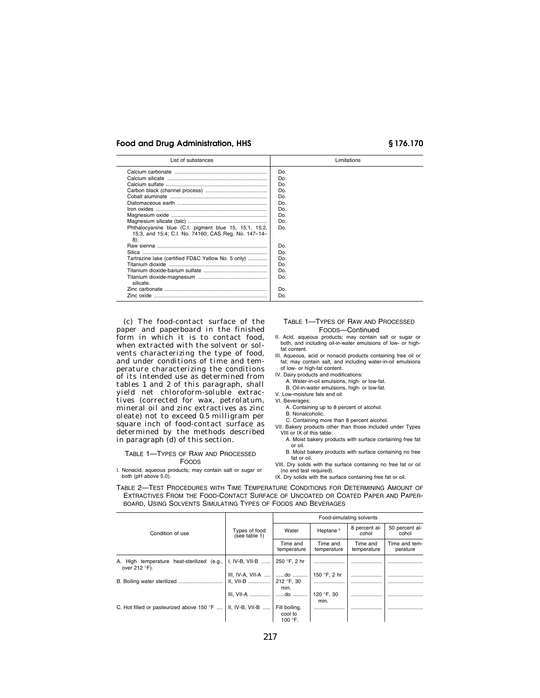| List of substances                                     | Limitations |
|--------------------------------------------------------|-------------|
|                                                        | Do.         |
|                                                        | Do.         |
|                                                        | Do.         |
|                                                        | Do.         |
|                                                        | Do.         |
|                                                        | Do.         |
|                                                        | Do.         |
|                                                        | Do.         |
|                                                        | Do.         |
| Phthalocyanine blue (C.I. pigment blue 15, 15:1, 15:2, | Do.         |
| 15:3, and 15:4; C.I. No. 74160; CAS Req. No. 147-14-   |             |
| 8).                                                    |             |
|                                                        | Do.         |
|                                                        | Do.         |
| Tartrazine lake (certified FD&C Yellow No. 5 only)     | Do.         |
|                                                        | Do.         |
|                                                        | Do.         |
| silicate.                                              | Do.         |
|                                                        | Do.         |
|                                                        | Do.         |

(c) The food-contact surface of the paper and paperboard in the finished form in which it is to contact food, when extracted with the solvent or solvents characterizing the type of food, and under conditions of time and temperature characterizing the conditions of its intended use as determined from tables 1 and 2 of this paragraph, shall yield net chloroform-soluble extractives (corrected for wax, petrolatum, mineral oil and zinc extractives as zinc oleate) not to exceed 0.5 milligram per square inch of food-contact surface as determined by the methods described in paragraph (d) of this section.

### TABLE 1—TYPES OF RAW AND PROCESSED FOODS

I. Nonacid, aqueous products; may contain salt or sugar or both (pH above 5.0).

### TABLE 1—TYPES OF RAW AND PROCESSED FOODS—Continued

II. Acid, aqueous products; may contain salt or sugar or both, and including oil-in-water emulsions of low- or highfat content.

- III. Aqueous, acid or nonacid products containing free oil or fat; may contain salt, and including water-in-oil emulsions of low- or high-fat content.
- IV. Dairy products and modifications:
	- A. Water-in-oil emulsions, high- or low-fat.
	- B. Oil-in-water emulsions, high- or low-fat.
- V. Low-moisture fats and oil.
- VI. Beverages:
	- A. Containing up to 8 percent of alcohol. B. Nonalcoholic.
	-
- C. Containing more than 8 percent alcohol. VII. Bakery products other than those included under Types VIII or IX of this table:
	- A. Moist bakery products with surface containing free fat or oil.
	- B. Moist bakery products with surface containing no free fat or oil.
- VIII. Dry solids with the surface containing no free fat or oil (no end test required).
- IX. Dry solids with the surface containing free fat or oil.

TABLE 2—TEST PROCEDURES WITH TIME TEMPERATURE CONDITIONS FOR DETERMINING AMOUNT OF EXTRACTIVES FROM THE FOOD-CONTACT SURFACE OF UNCOATED OR COATED PAPER AND PAPER-BOARD, USING SOLVENTS SIMULATING TYPES OF FOODS AND BEVERAGES

|                                                                               |                                                   | Food-simulating solvents    |                         |                         |                           |
|-------------------------------------------------------------------------------|---------------------------------------------------|-----------------------------|-------------------------|-------------------------|---------------------------|
| Condition of use                                                              | Types of food<br>(see table 1)                    | Water                       | Heptane <sup>1</sup>    | 8 percent al-<br>cohol  | 50 percent al-<br>cohol   |
|                                                                               |                                                   | Time and<br>temperature     | Time and<br>temperature | Time and<br>temperature | Time and tem-<br>perature |
| A. High temperature heat-sterilized (e.g.,<br>over 212 °F).                   | I, IV-B, VII-B    250 °F, 2 hr                    |                             |                         |                         |                           |
|                                                                               | III, IV-A, VII-A    do<br>II, VII-B    212 °F, 30 | min.                        | 150 °F, 2 hr            |                         |                           |
|                                                                               | III, VII-A    do                                  |                             | 120 °F, 30<br>min.      |                         |                           |
| C. Hot filled or pasteurized above 150 °F    II, IV-B, VII-B    Fill boiling, |                                                   | cool to<br>100 $\degree$ F. |                         |                         |                           |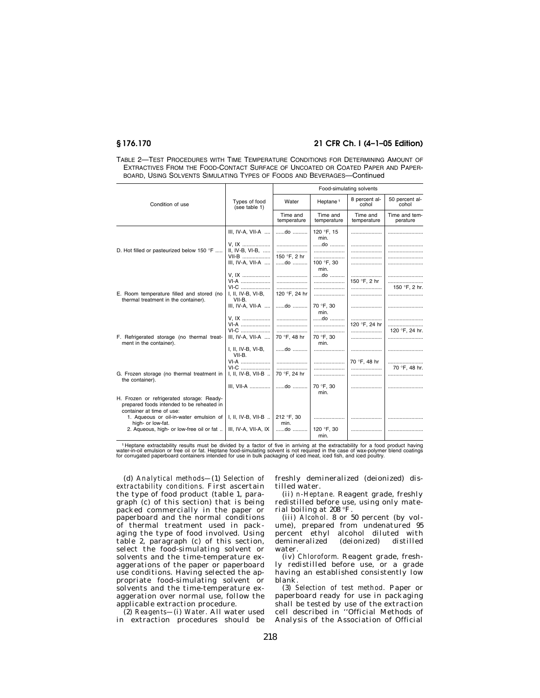| TABLE 2-TEST PROCEDURES WITH TIME TEMPERATURE CONDITIONS FOR DETERMINING AMOUNT OF |  |
|------------------------------------------------------------------------------------|--|
| EXTRACTIVES FROM THE FOOD-CONTACT SURFACE OF UNCOATED OR COATED PAPER AND PAPER-   |  |
| BOARD. USING SOLVENTS SIMULATING TYPES OF FOODS AND BEVERAGES-Continued            |  |

|                                                                                   |                                        | Food-simulating solvents |                         |                         |                           |
|-----------------------------------------------------------------------------------|----------------------------------------|--------------------------|-------------------------|-------------------------|---------------------------|
| Condition of use                                                                  | Types of food<br>(see table 1)         | Water                    | Heptane <sup>1</sup>    | 8 percent al-<br>cohol  | 50 percent al-<br>cohol   |
|                                                                                   |                                        | Time and<br>temperature  | Time and<br>temperature | Time and<br>temperature | Time and tem-<br>perature |
| D. Hot filled or pasteurized below 150 °F                                         | III, IV-A, VII-A                       | do                       | 120 °F, 15<br>min.      |                         |                           |
|                                                                                   | V, IX<br>II, IV-B, VI-B,               |                          | $$ do $$                |                         |                           |
|                                                                                   | VII-B<br>III, IV-A, VII-A              | 150 °F. 2 hr<br>do       | 100 °F, 30<br>min.      |                         |                           |
|                                                                                   | V. IX<br>VI-A                          |                          | $$ do $$                | 150 °F. 2 hr            |                           |
| E. Room temperature filled and stored (no<br>thermal treatment in the container). | VI-C<br>I, II, IV-B, VI-B,<br>VII-B.   | 120 °F. 24 hr            |                         |                         | 150 °F, 2 hr.             |
|                                                                                   | III, IV-A, VII-A                       | do                       | 70 °F, 30<br>min.       |                         |                           |
|                                                                                   | V. IX<br>VI-A                          |                          | do                      | <br>120 °F, 24 hr       |                           |
| F. Refrigerated storage (no thermal treat-<br>ment in the container).             | VI-C<br>III, IV-A, VII-A               | 70 °F. 48 hr             | <br>70 °F. 30<br>min.   |                         | 120 °F, 24 hr.<br>        |
|                                                                                   | I, II, IV-B, VI-B,<br>VII-B.           | $$ do $$                 |                         |                         |                           |
|                                                                                   | VI-A<br>VI-C                           |                          |                         | 70 °F, 48 hr            | 70 °F. 48 hr.             |
| G. Frozen storage (no thermal treatment in<br>the container).                     | I, II, IV-B, VII-B<br>III. VII-A    do | 70 °F, 24 hr             | 70 °F, 30               |                         |                           |
| H. Frozen or refrigerated storage: Ready-                                         |                                        |                          | min.                    |                         |                           |
| prepared foods intended to be reheated in<br>container at time of use:            |                                        |                          |                         |                         |                           |
| 1. Aqueous or oil-in-water emulsion of<br>high- or low-fat.                       | I, II, IV-B, VII-B                     | 212 °F, 30<br>min.       |                         |                         |                           |
| 2. Aqueous, high- or low-free oil or fat                                          | III, IV-A, VII-A, IX                   | do                       | 120 °F, 30<br>min.      |                         |                           |

Heptane extractability results must be divided by a factor of five in arriving at the extractability for a food product having<br>water-in-oil emulsion or free oil or fat. Heptane food-simulating solvent is not required in th

(d) *Analytical methods—*(1) *Selection of extractability conditions.* First ascertain the type of food product (table 1, paragraph (c) of this section) that is being packed commercially in the paper or paperboard and the normal conditions of thermal treatment used in packaging the type of food involved. Using table 2, paragraph (c) of this section, select the food-simulating solvent or solvents and the time-temperature exaggerations of the paper or paperboard use conditions. Having selected the appropriate food-simulating solvent or solvents and the time-temperature exaggeration over normal use, follow the applicable extraction procedure.

(2) *Reagents—*(i) *Water.* All water used in extraction procedures should be freshly demineralized (deionized) distilled water.

(ii) *n-Heptane.* Reagent grade, freshly redistilled before use, using only material boiling at 208 °F.

(iii) *Alcohol.* 8 or 50 percent (by volume), prepared from undenatured 95 percent ethyl alcohol diluted with demineralized (deionized) distilled water.

(iv) *Chloroform.* Reagent grade, freshly redistilled before use, or a grade having an established consistently low blank.

(3) *Selection of test method.* Paper or paperboard ready for use in packaging shall be tested by use of the extraction cell described in ''Official Methods of Analysis of the Association of Official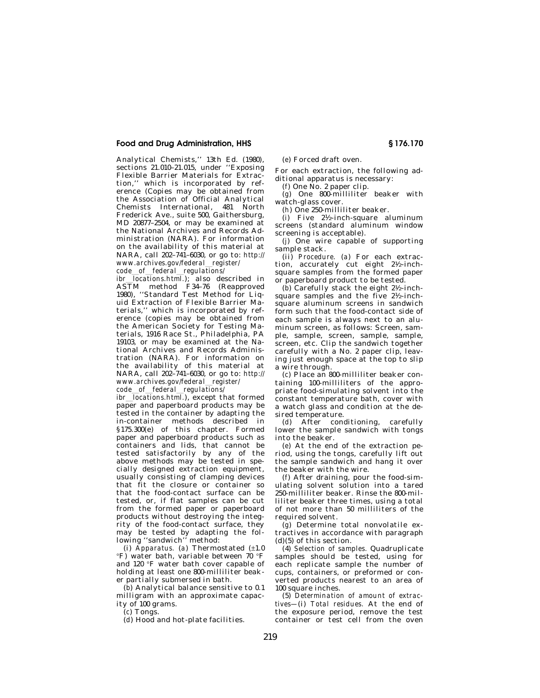Analytical Chemists,'' 13th Ed. (1980), sections 21.010–21.015, under ''Exposing Flexible Barrier Materials for Extraction,'' which is incorporated by reference (Copies may be obtained from the Association of Official Analytical Chemists International, 481 North Frederick Ave., suite 500, Gaithersburg, MD 20877–2504, or may be examined at the National Archives and Records Administration (NARA). For information on the availability of this material at NARA, call 202–741–6030, or go to: *http:// www.archives.gov/federal*l*register/ code*l*of*l*federal*l*regulations/* 

*ibr locations.html.*); also described in ASTM method F34–76 (Reapproved 1980), ''Standard Test Method for Liquid Extraction of Flexible Barrier Materials,'' which is incorporated by reference (copies may be obtained from the American Society for Testing Materials, 1916 Race St., Philadelphia, PA 19103, or may be examined at the National Archives and Records Administration (NARA). For information on the availability of this material at NARA, call 202–741–6030, or go to: *http:// www.archives.gov/federal*l*register/* 

*code\_of\_federal\_regulations/*<br>*ibr\_locations\_btml*)\_excent\_th  $\overline{1}$ *locations.html.*), except that formed paper and paperboard products may be tested in the container by adapting the in-container methods described in §175.300(e) of this chapter. Formed paper and paperboard products such as containers and lids, that cannot be tested satisfactorily by any of the above methods may be tested in specially designed extraction equipment, usually consisting of clamping devices that fit the closure or container so that the food-contact surface can be tested, or, if flat samples can be cut from the formed paper or paperboard products without destroying the integrity of the food-contact surface, they may be tested by adapting the following ''sandwich'' method:

(i) *Apparatus.* (*a*) Thermostated (±1.0 °F) water bath, variable between 70 °F and 120 °F water bath cover capable of holding at least one 800-milliliter beaker partially submersed in bath.

(*b*) Analytical balance sensitive to 0.1 milligram with an approximate capacity of 100 grams.

(*c*) Tongs.

(*d*) Hood and hot-plate facilities.

(*e*) Forced draft oven.

For each extraction, the following additional apparatus is necessary:

(*f*) One No. 2 paper clip.

(*g*) One 800-milliliter beaker with watch-glass cover.

(*h*) One 250-milliliter beaker.

(*i*) Five 21⁄2-inch-square aluminum screens (standard aluminum window screening is acceptable).

(*j*) One wire capable of supporting sample stack.

(ii) *Procedure.* (*a*) For each extraction, accurately cut eight 21⁄2-inchsquare samples from the formed paper or paperboard product to be tested.

(*b*) Carefully stack the eight 21⁄2-inchsquare samples and the five 21⁄2-inchsquare aluminum screens in sandwich form such that the food-contact side of each sample is always next to an aluminum screen, as follows: Screen, sample, sample, screen, sample, sample, screen, etc. Clip the sandwich together carefully with a No. 2 paper clip, leaving just enough space at the top to slip a wire through.

(*c*) Place an 800-milliliter beaker containing 100-milliliters of the appropriate food-simulating solvent into the constant temperature bath, cover with a watch glass and condition at the desired temperature.

(*d*) After conditioning, carefully lower the sample sandwich with tongs into the beaker.

(*e*) At the end of the extraction period, using the tongs, carefully lift out the sample sandwich and hang it over the beaker with the wire.

(*f*) After draining, pour the food-simulating solvent solution into a tared 250-milliliter beaker. Rinse the 800-milliliter beaker three times, using a total of not more than 50 milliliters of the required solvent.

(*g*) Determine total nonvolatile extractives in accordance with paragraph  $(d)(5)$  of this section.

(4) *Selection of samples.* Quadruplicate samples should be tested, using for each replicate sample the number of cups, containers, or preformed or converted products nearest to an area of 100 square inches.

(5) *Determination of amount of extractives—*(i) *Total residues.* At the end of the exposure period, remove the test container or test cell from the oven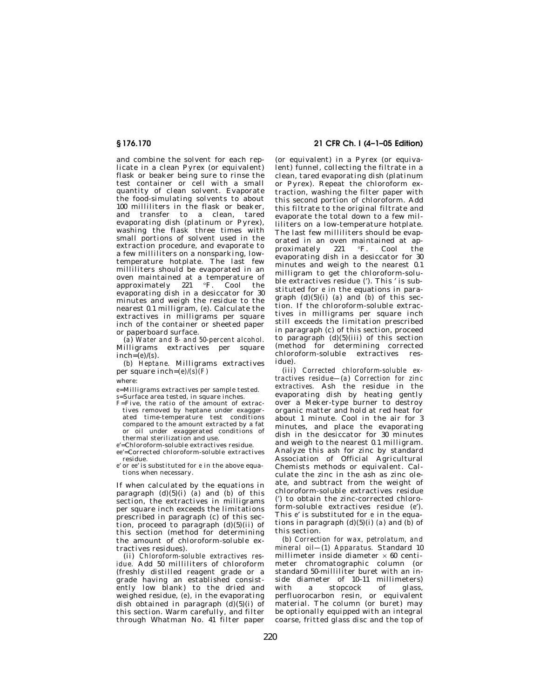and combine the solvent for each replicate in a clean Pyrex (or equivalent) flask or beaker being sure to rinse the test container or cell with a small quantity of clean solvent. Evaporate the food-simulating solvents to about 100 milliliters in the flask or beaker, and transfer to a clean, tared evaporating dish (platinum or Pyrex), washing the flask three times with small portions of solvent used in the extraction procedure, and evaporate to a few milliliters on a nonsparking, lowtemperature hotplate. The last few milliliters should be evaporated in an oven maintained at a temperature of approximately 221 °F. Cool the evaporating dish in a desiccator for 30 minutes and weigh the residue to the nearest 0.1 milligram, (*e*). Calculate the extractives in milligrams per square inch of the container or sheeted paper or paperboard surface.

(*a*) *Water and 8- and 50-percent alcohol.*  Milligrams extractives per square  $inch=(e)/(s)$ .

(*b*) *Heptane.* Milligrams extractives per square inch=*(e)/(s)(F)* 

where:

*e*=Milligrams extractives per sample tested. *s*=Surface area tested, in square inches.

*F*=Five, the ratio of the amount of extractives removed by heptane under exaggerated time-temperature test conditions compared to the amount extracted by a fat or oil under exaggerated conditions of thermal sterilization and use.

*e*′=Chloroform-soluble extractives residue.

*ee*′=Corrected chloroform-soluble extractives residue.

*e*′ or *ee*′ is substituted for *e* in the above equations when necessary.

If when calculated by the equations in paragraph  $(d)(5)(i)$  (*a*) and  $(b)$  of this section, the extractives in milligrams per square inch exceeds the limitations prescribed in paragraph (c) of this section, proceed to paragraph  $(d)(5)(ii)$  of this section (method for determining the amount of chloroform-soluble extractives residues).

(ii) *Chloroform-soluble extractives residue.* Add 50 milliliters of chloroform (freshly distilled reagent grade or a grade having an established consistently low blank) to the dried and weighed residue, (*e*), in the evaporating dish obtained in paragraph  $(d)(5)(i)$  of this section. Warm carefully, and filter through Whatman No. 41 filter paper

**§ 176.170 21 CFR Ch. I (4–1–05 Edition)** 

(or equivalent) in a Pyrex (or equivalent) funnel, collecting the filtrate in a clean, tared evaporating dish (platinum or Pyrex). Repeat the chloroform extraction, washing the filter paper with this second portion of chloroform. Add this filtrate to the original filtrate and evaporate the total down to a few milliliters on a low-temperature hotplate. The last few milliliters should be evaporated in an oven maintained at approximately 221 °F. Cool the evaporating dish in a desiccator for 30 minutes and weigh to the nearest 0.1 milligram to get the chloroform-soluble extractives residue (′). This ′ is substituted for *e* in the equations in paragraph  $(d)(5)(i)$  (*a*) and (*b*) of this section. If the chloroform-soluble extractives in milligrams per square inch still exceeds the limitation prescribed in paragraph (c) of this section, proceed to paragraph  $(d)(5)(iii)$  of this section (method for determining corrected chloroform-soluble extractives residue).

(iii) *Corrected chloroform-soluble extractives residue—*(*a*) *Correction for zinc extractives.* Ash the residue in the evaporating dish by heating gently over a Meker-type burner to destroy organic matter and hold at red heat for about 1 minute. Cool in the air for 3 minutes, and place the evaporating dish in the desiccator for 30 minutes and weigh to the nearest 0.1 milligram. Analyze this ash for zinc by standard Association of Official Agricultural Chemists methods or equivalent. Calculate the zinc in the ash as zinc oleate, and subtract from the weight of chloroform-soluble extractives residue (′) to obtain the zinc-corrected chloroform-soluble extractives residue (*e*′). This *e*′ is substituted for *e* in the equations in paragraph  $(d)(5)(i)$  *(a)* and *(b)* of this section.

(*b*) *Correction for wax, petrolatum, and mineral oil—*(*1*) *Apparatus.* Standard 10 millimeter inside diameter  $\times$  60 centimeter chromatographic column (or standard 50-milliliter buret with an inside diameter of 10–11 millimeters) with a stopcock of glass, perfluorocarbon resin, or equivalent material. The column (or buret) may be optionally equipped with an integral coarse, fritted glass disc and the top of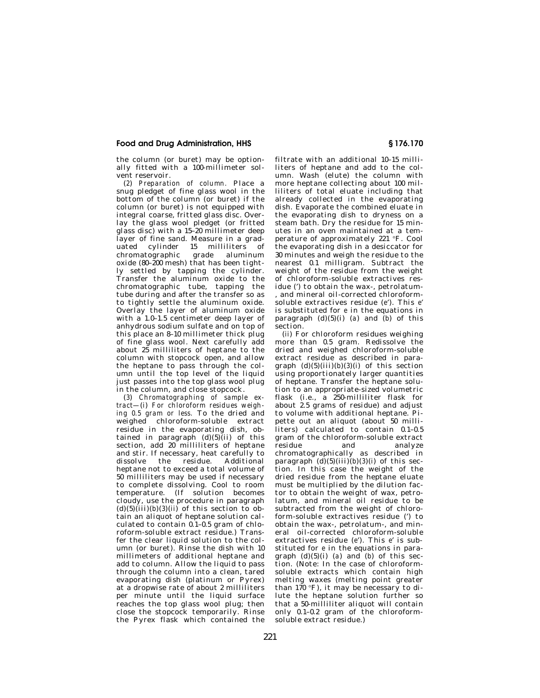the column (or buret) may be optionally fitted with a 100-millimeter solvent reservoir.

(*2*) *Preparation of column.* Place a snug pledget of fine glass wool in the bottom of the column (or buret) if the column (or buret) is not equipped with integral coarse, fritted glass disc. Overlay the glass wool pledget (or fritted glass disc) with a 15–20 millimeter deep layer of fine sand. Measure in a graduated cylinder 15 milliliters of chromatographic grade aluminum oxide (80–200 mesh) that has been tightly settled by tapping the cylinder. Transfer the aluminum oxide to the chromatographic tube, tapping the tube during and after the transfer so as to tightly settle the aluminum oxide. Overlay the layer of aluminum oxide with a 1.0-1.5 centimeter deep layer of anhydrous sodium sulfate and on top of this place an 8–10 millimeter thick plug of fine glass wool. Next carefully add about 25 milliliters of heptane to the column with stopcock open, and allow the heptane to pass through the column until the top level of the liquid just passes into the top glass wool plug in the column, and close stopcock.

(*3*) *Chromatographing of sample extract—*(*i*) *For chloroform residues weighing 0.5 gram or less.* To the dried and weighed chloroform-soluble extract residue in the evaporating dish, obtained in paragraph  $(d)(5)(i)$  of this section, add 20 milliliters of heptane and stir. If necessary, heat carefully to<br>dissolve the residue. Additional the residue. heptane not to exceed a total volume of 50 milliliters may be used if necessary to complete dissolving. Cool to room temperature. (If solution becomes cloudy, use the procedure in paragraph  $(d)(5)(iii)(b)(3)(ii)$  of this section to obtain an aliquot of heptane solution calculated to contain 0.1–0.5 gram of chloroform-soluble extract residue.) Transfer the clear liquid solution to the column (or buret). Rinse the dish with 10 millimeters of additional heptane and add to column. Allow the liquid to pass through the column into a clean, tared evaporating dish (platinum or Pyrex) at a dropwise rate of about 2 milliliters per minute until the liquid surface reaches the top glass wool plug; then close the stopcock temporarily. Rinse the Pyrex flask which contained the

filtrate with an additional 10–15 milliliters of heptane and add to the column. Wash (elute) the column with more heptane collecting about 100 milliliters of total eluate including that already collected in the evaporating dish. Evaporate the combined eluate in the evaporating dish to dryness on a steam bath. Dry the residue for 15 minutes in an oven maintained at a temperature of approximately 221 °F. Cool the evaporating dish in a desiccator for 30 minutes and weigh the residue to the nearest 0.1 milligram. Subtract the weight of the residue from the weight of chloroform-soluble extractives residue (′) to obtain the wax-, petrolatum- , and mineral oil-corrected chloroformsoluble extractives residue (*e*′). This *e*′ is substituted for *e* in the equations in paragraph  $(d)(5)(i)$  (*a*) and  $(b)$  of this section.

(*ii*) For chloroform residues weighing more than 0.5 gram. Redissolve the dried and weighed chloroform-soluble extract residue as described in paragraph  $(d)(5)(iii)(b)(3)(i)$  of this section using proportionately larger quantities of heptane. Transfer the heptane solution to an appropriate-sized volumetric flask (i.e., a 250-milliliter flask for about 2.5 grams of residue) and adjust to volume with additional heptane. Pipette out an aliquot (about 50 milliliters) calculated to contain 0.1–0.5 gram of the chloroform-soluble extract residue and analyze chromatographically as described in paragraph  $(d)(5)(iii)(b)(3)(i)$  of this section. In this case the weight of the dried residue from the heptane eluate must be multiplied by the dilution factor to obtain the weight of wax, petrolatum, and mineral oil residue to be subtracted from the weight of chloroform-soluble extractives residue (') to obtain the wax-, petrolatum-, and mineral oil-corrected chloroform-soluble extractives residue (*e*′). This *e*′ is substituted for *e* in the equations in paragraph  $(d)(5)(i)$  (*a*) and  $(b)$  of this section. (Note: In the case of chloroformsoluble extracts which contain high melting waxes (melting point greater than  $170 \text{ }^\circ F$ ), it may be necessary to dilute the heptane solution further so that a 50-milliliter aliquot will contain only 0.1–0.2 gram of the chloroformsoluble extract residue.)